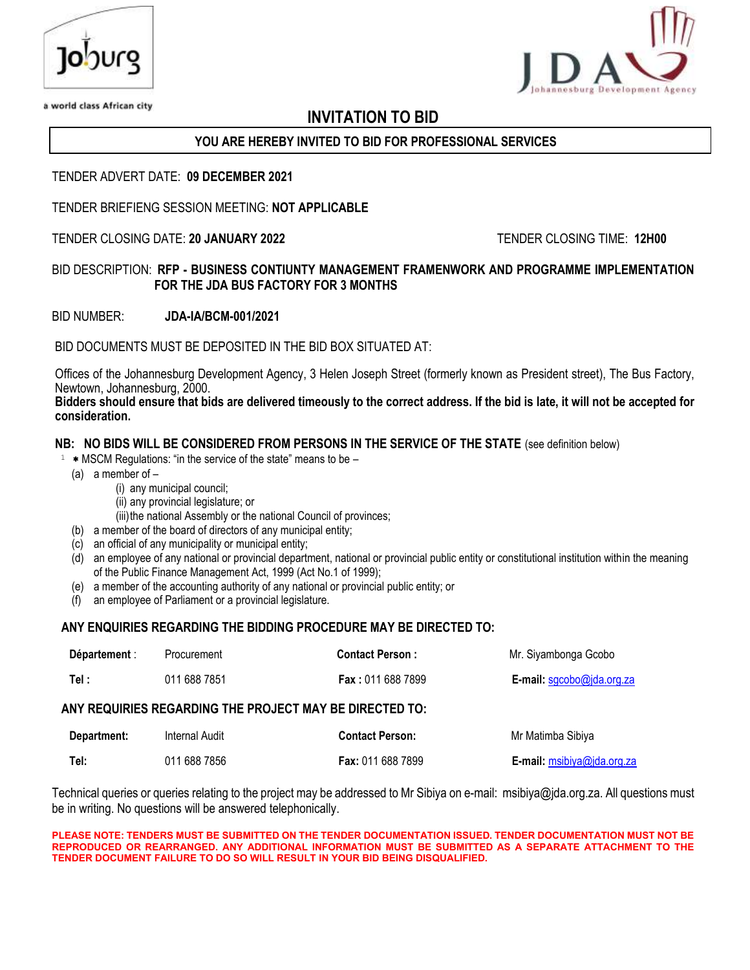



a world class African city

# **INVITATION TO BID**

# **YOU ARE HEREBY INVITED TO BID FOR PROFESSIONAL SERVICES**

#### TENDER ADVERT DATE: **09 DECEMBER 2021**

TENDER BRIEFIENG SESSION MEETING: **NOT APPLICABLE**

#### TENDER CLOSING DATE: **20 JANUARY 2022** TENDER CLOSING TIME: **12H00**

#### BID DESCRIPTION: **RFP - BUSINESS CONTIUNTY MANAGEMENT FRAMENWORK AND PROGRAMME IMPLEMENTATION FOR THE JDA BUS FACTORY FOR 3 MONTHS**

BID NUMBER: **JDA-IA/BCM-001/2021** 

BID DOCUMENTS MUST BE DEPOSITED IN THE BID BOX SITUATED AT

Offices of the Johannesburg Development Agency, 3 Helen Joseph Street (formerly known as President street), The Bus Factory, Newtown, Johannesburg, 2000.

**Bidders should ensure that bids are delivered timeously to the correct address. If the bid is late, it will not be accepted for consideration.**

#### **NB: NO BIDS WILL BE CONSIDERED FROM PERSONS IN THE SERVICE OF THE STATE** (see definition below)

- $1$  \* MSCM Regulations: "in the service of the state" means to be
	- (a) a member of
		- (i) any municipal council;
		- (ii) any provincial legislature; or
		- (iii) the national Assembly or the national Council of provinces;
	- (b) a member of the board of directors of any municipal entity;
	- (c) an official of any municipality or municipal entity;
	- (d) an employee of any national or provincial department, national or provincial public entity or constitutional institution within the meaning of the Public Finance Management Act, 1999 (Act No.1 of 1999);
	- (e) a member of the accounting authority of any national or provincial public entity; or
	- (f) an employee of Parliament or a provincial legislature.

#### **ANY ENQUIRIES REGARDING THE BIDDING PROCEDURE MAY BE DIRECTED TO:**

| Département : | Procurement    | <b>Contact Person:</b>                                  | Mr. Siyambonga Gcobo               |
|---------------|----------------|---------------------------------------------------------|------------------------------------|
| Tel :         | 011 688 7851   | <b>Fax: 011 688 7899</b>                                | <b>E-mail:</b> $sgcobo@jda.org.za$ |
|               |                | ANY REQUIRIES REGARDING THE PROJECT MAY BE DIRECTED TO: |                                    |
| Department:   | Internal Audit | <b>Contact Person:</b>                                  | Mr Matimba Sibiya                  |
| Tel:          | 011 688 7856   | <b>Fax: 011 688 7899</b>                                | E-mail: msibiya@jda.org.za         |

Technical queries or queries relating to the project may be addressed to Mr Sibiya on e-mail: msibiya@jda.org.za. All questions must be in writing. No questions will be answered telephonically.

#### **PLEASE NOTE: TENDERS MUST BE SUBMITTED ON THE TENDER DOCUMENTATION ISSUED. TENDER DOCUMENTATION MUST NOT BE REPRODUCED OR REARRANGED. ANY ADDITIONAL INFORMATION MUST BE SUBMITTED AS A SEPARATE ATTACHMENT TO THE TENDER DOCUMENT FAILURE TO DO SO WILL RESULT IN YOUR BID BEING DISQUALIFIED.**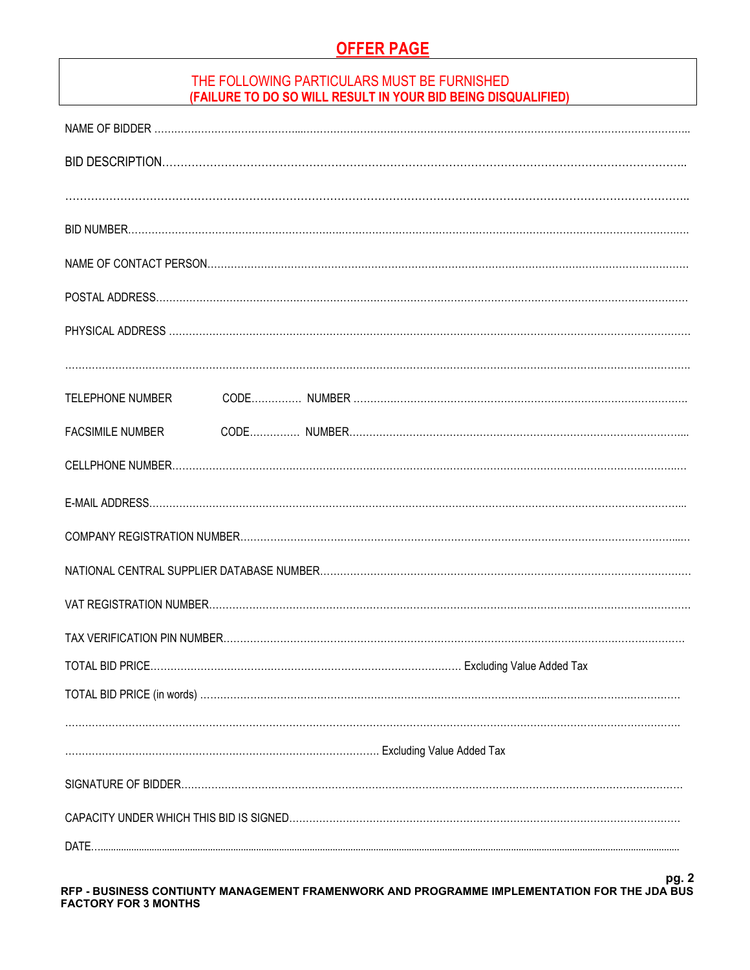# **OFFER PAGE**

# THE FOLLOWING PARTICULARS MUST BE FURNISHED **(FAILURE TO DO SO WILL RESULT IN YOUR BID BEING DISQUALIFIED)**

| TELEPHONE NUMBER        |  |  |  |
|-------------------------|--|--|--|
| <b>FACSIMILE NUMBER</b> |  |  |  |
|                         |  |  |  |
|                         |  |  |  |
|                         |  |  |  |
|                         |  |  |  |
|                         |  |  |  |
|                         |  |  |  |
| TOTAL BID PRICE.        |  |  |  |
|                         |  |  |  |
|                         |  |  |  |
|                         |  |  |  |
|                         |  |  |  |
|                         |  |  |  |
| DATE                    |  |  |  |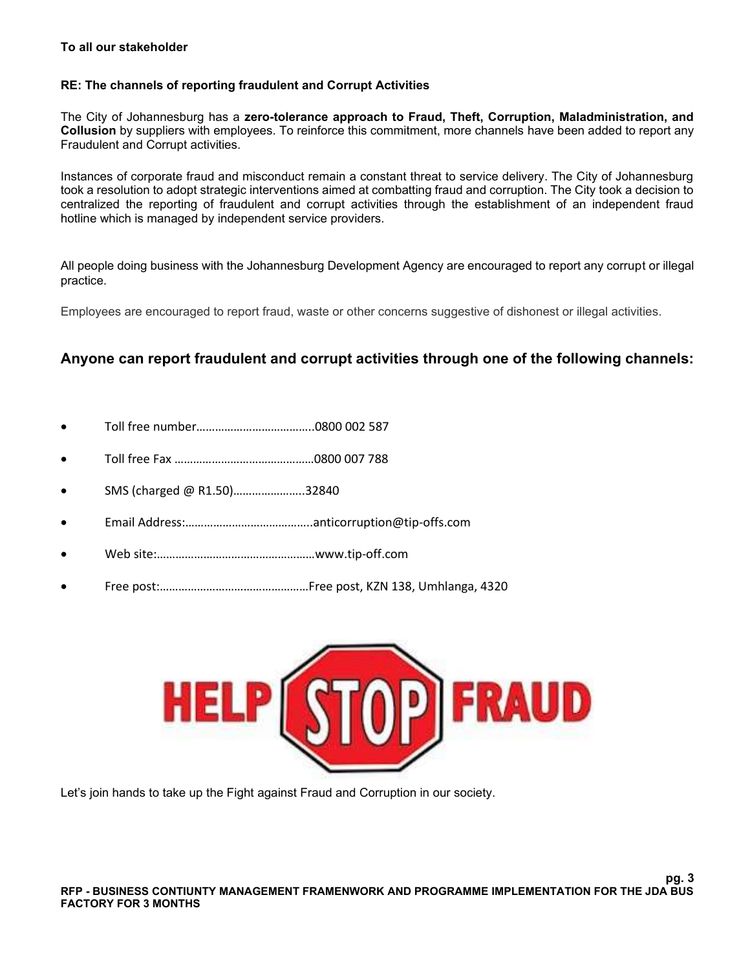#### **To all our stakeholder**

#### **RE: The channels of reporting fraudulent and Corrupt Activities**

The City of Johannesburg has a **zero-tolerance approach to Fraud, Theft, Corruption, Maladministration, and Collusion** by suppliers with employees. To reinforce this commitment, more channels have been added to report any Fraudulent and Corrupt activities.

Instances of corporate fraud and misconduct remain a constant threat to service delivery. The City of Johannesburg took a resolution to adopt strategic interventions aimed at combatting fraud and corruption. The City took a decision to centralized the reporting of fraudulent and corrupt activities through the establishment of an independent fraud hotline which is managed by independent service providers.

All people doing business with the Johannesburg Development Agency are encouraged to report any corrupt or illegal practice.

Employees are encouraged to report fraud, waste or other concerns suggestive of dishonest or illegal activities.

# **Anyone can report fraudulent and corrupt activities through one of the following channels:**

- Toll free number………………………………..0800 002 587
- Toll free Fax ………………………………………0800 007 788
- SMS (charged @ R1.50)…………………..32840
- Email Address:…………………………………..anticorruption@tip-offs.com
- Web site:……………………………………………www.tip-off.com
- Free post:…………………………………………Free post, KZN 138, Umhlanga, 4320



Let's join hands to take up the Fight against Fraud and Corruption in our society.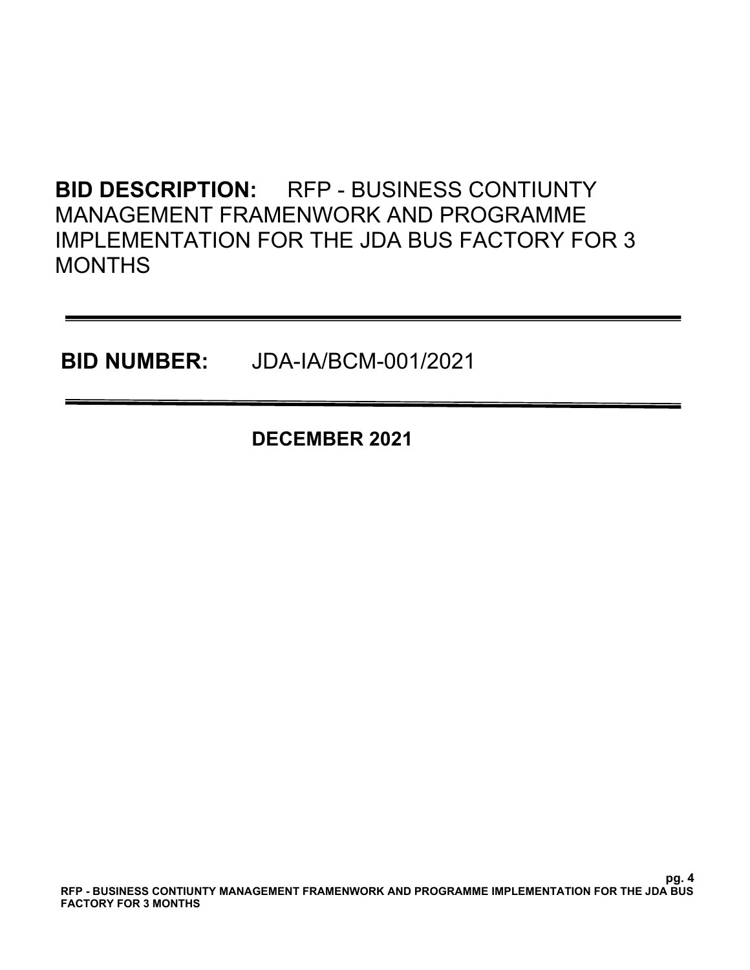# **BID DESCRIPTION:** RFP - BUSINESS CONTIUNTY MANAGEMENT FRAMENWORK AND PROGRAMME IMPLEMENTATION FOR THE JDA BUS FACTORY FOR 3 **MONTHS**

**BID NUMBER:** JDA-IA/BCM-001/2021

**DECEMBER 2021**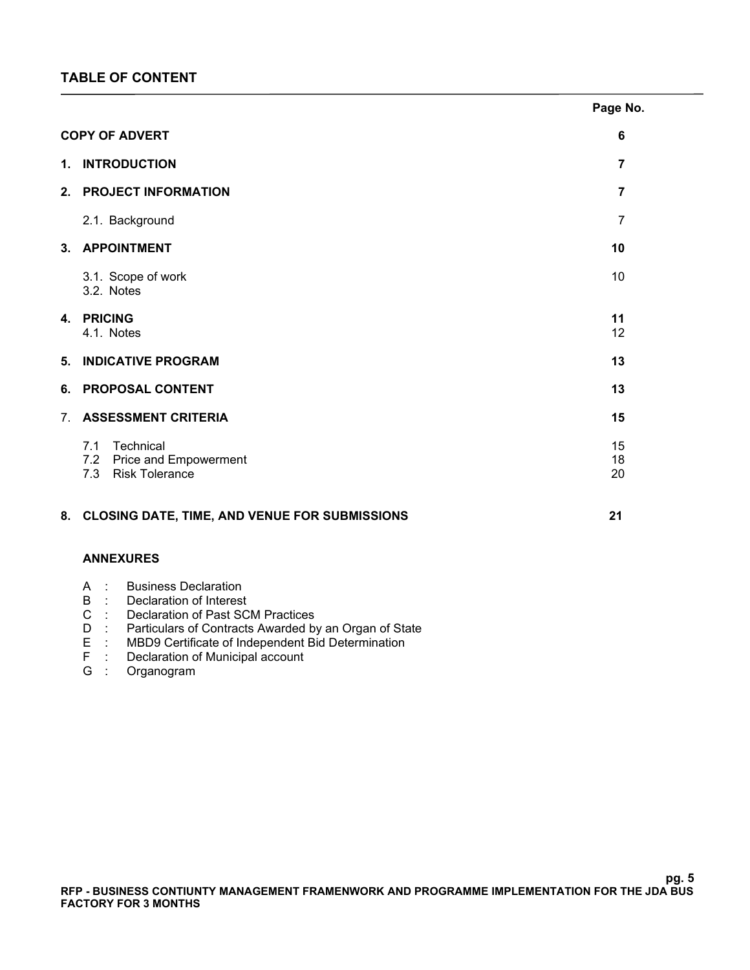|    |                                                                  | Page No.                |
|----|------------------------------------------------------------------|-------------------------|
|    | <b>COPY OF ADVERT</b>                                            | 6                       |
|    | 1. INTRODUCTION                                                  | $\overline{7}$          |
|    | 2. PROJECT INFORMATION                                           | $\overline{\mathbf{7}}$ |
|    | 2.1. Background                                                  | $\overline{7}$          |
|    | 3. APPOINTMENT                                                   | 10                      |
|    | 3.1. Scope of work<br>3.2. Notes                                 | 10                      |
|    | 4. PRICING<br>4.1. Notes                                         | 11<br>12                |
| 5. | <b>INDICATIVE PROGRAM</b>                                        | 13                      |
|    | 6. PROPOSAL CONTENT                                              | 13                      |
| 7. | <b>ASSESSMENT CRITERIA</b>                                       | 15                      |
|    | 7.1 Technical<br>7.2 Price and Empowerment<br>7.3 Risk Tolerance | 15<br>18<br>20          |
|    | 8. CLOSING DATE, TIME, AND VENUE FOR SUBMISSIONS                 | 21                      |
|    | <b>ANNEXURES</b>                                                 |                         |
|    | <b>Business Declaration</b><br>$A$ :                             |                         |

- B : Declaration of Interest
- C : Declaration of Past SCM Practices
- D : Particulars of Contracts Awarded by an Organ of State<br>E : MBD9 Certificate of Independent Bid Determination
- E : MBD9 Certificate of Independent Bid Determination
- F : Declaration of Municipal account
- G : Organogram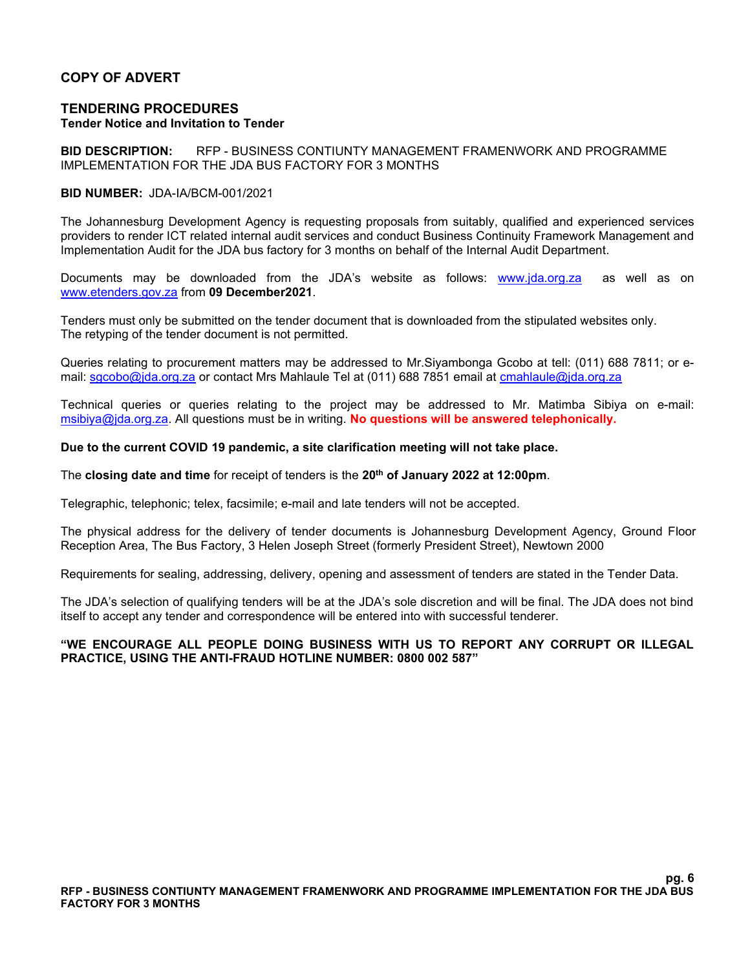#### **COPY OF ADVERT**

#### **TENDERING PROCEDURES Tender Notice and Invitation to Tender**

**BID DESCRIPTION:** RFP - BUSINESS CONTIUNTY MANAGEMENT FRAMENWORK AND PROGRAMME IMPLEMENTATION FOR THE JDA BUS FACTORY FOR 3 MONTHS

#### **BID NUMBER:** JDA-IA/BCM-001/2021

The Johannesburg Development Agency is requesting proposals from suitably, qualified and experienced services providers to render ICT related internal audit services and conduct Business Continuity Framework Management and Implementation Audit for the JDA bus factory for 3 months on behalf of the Internal Audit Department.

Documents may be downloaded from the JDA's website as follows: [www.jda.org.za](http://www.jda.org.za/) as well as on [www.etenders.gov.za](http://www.etenders.gov.za/) from **09 December2021**.

Tenders must only be submitted on the tender document that is downloaded from the stipulated websites only. The retyping of the tender document is not permitted.

Queries relating to procurement matters may be addressed to Mr.Siyambonga Gcobo at tell: (011) 688 7811; or email: [sgcobo@jda.org.za](mailto:sgcobo@jda.org.za) or contact Mrs Mahlaule Tel at (011) 688 7851 email at [cmahlaule@jda.org.za](mailto:cmahlaule@jda.org.za)

Technical queries or queries relating to the project may be addressed to Mr. Matimba Sibiya on e-mail: [msibiya@jda.org.za.](mailto:msibiya@jda.org.za) All questions must be in writing. **No questions will be answered telephonically.**

#### **Due to the current COVID 19 pandemic, a site clarification meeting will not take place.**

The **closing date and time** for receipt of tenders is the **20th of January 2022 at 12:00pm**.

Telegraphic, telephonic; telex, facsimile; e-mail and late tenders will not be accepted.

The physical address for the delivery of tender documents is Johannesburg Development Agency, Ground Floor Reception Area, The Bus Factory, 3 Helen Joseph Street (formerly President Street), Newtown 2000

Requirements for sealing, addressing, delivery, opening and assessment of tenders are stated in the Tender Data.

The JDA's selection of qualifying tenders will be at the JDA's sole discretion and will be final. The JDA does not bind itself to accept any tender and correspondence will be entered into with successful tenderer.

#### **"WE ENCOURAGE ALL PEOPLE DOING BUSINESS WITH US TO REPORT ANY CORRUPT OR ILLEGAL PRACTICE, USING THE ANTI-FRAUD HOTLINE NUMBER: 0800 002 587"**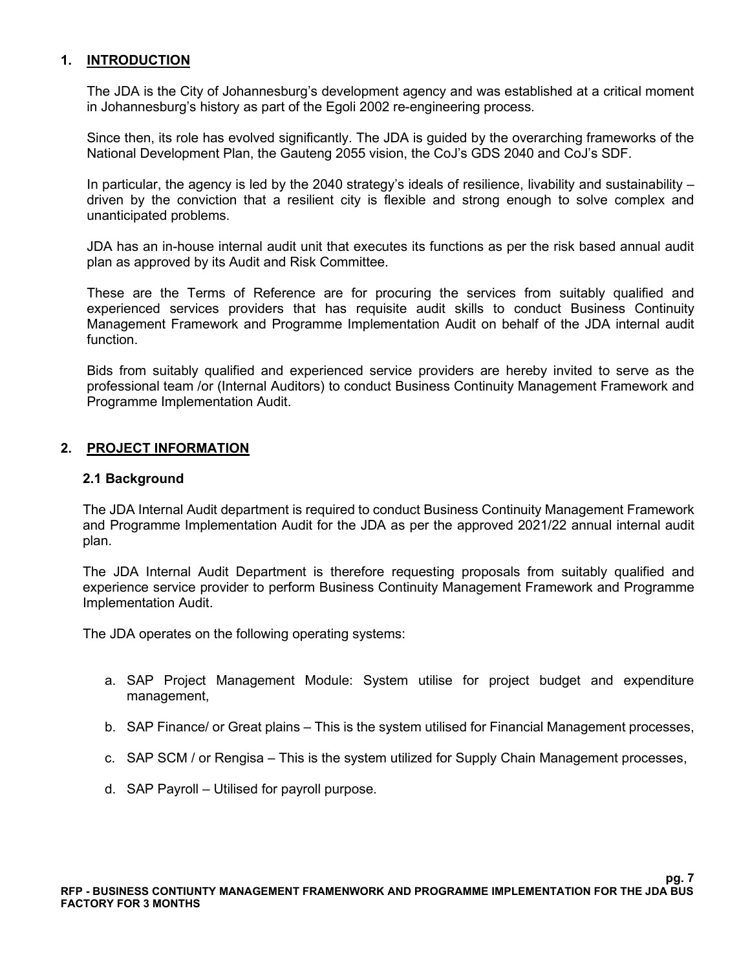#### **1. INTRODUCTION**

The JDA is the [City of Johannesburg's](https://www.joburg.org.za/) development agency and was established at a critical moment in Johannesburg's history as part of the Egoli 2002 re-engineering process.

Since then, its role has evolved significantly. The JDA is guided by the overarching frameworks of the [National Development Plan](https://www.gov.za/issues/national-development-plan-2030), the Gauteng 2055 vision, the CoJ's GDS 2040 and CoJ's SDF.

In particular, the agency is led by the 2040 strategy's ideals of resilience, livability and sustainability – driven by the conviction that a resilient city is flexible and strong enough to solve complex and unanticipated problems.

JDA has an in-house internal audit unit that executes its functions as per the risk based annual audit plan as approved by its Audit and Risk Committee.

These are the Terms of Reference are for procuring the services from suitably qualified and experienced services providers that has requisite audit skills to conduct Business Continuity Management Framework and Programme Implementation Audit on behalf of the JDA internal audit function.

Bids from suitably qualified and experienced service providers are hereby invited to serve as the professional team /or (Internal Auditors) to conduct Business Continuity Management Framework and Programme Implementation Audit.

#### **2. PROJECT INFORMATION**

#### **2.1 Background**

The JDA Internal Audit department is required to conduct Business Continuity Management Framework and Programme Implementation Audit for the JDA as per the approved 2021/22 annual internal audit plan.

The JDA Internal Audit Department is therefore requesting proposals from suitably qualified and experience service provider to perform Business Continuity Management Framework and Programme Implementation Audit.

The JDA operates on the following operating systems:

- a. SAP Project Management Module: System utilise for project budget and expenditure management,
- b. SAP Finance/ or Great plains This is the system utilised for Financial Management processes,
- c. SAP SCM / or Rengisa This is the system utilized for Supply Chain Management processes,
- d. SAP Payroll Utilised for payroll purpose.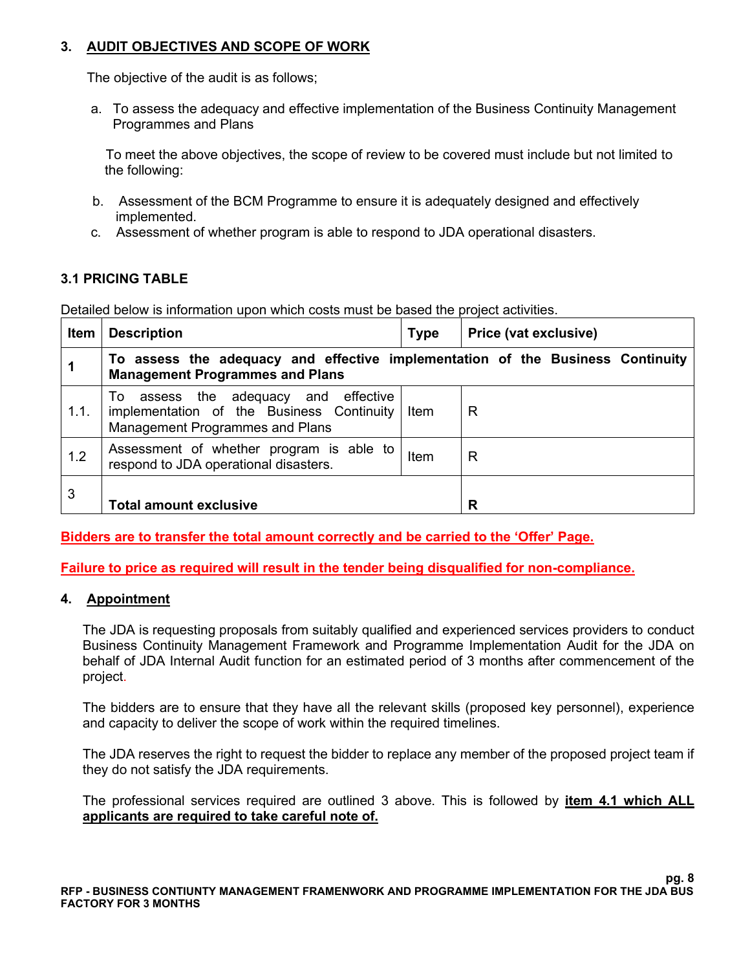# **3. AUDIT OBJECTIVES AND SCOPE OF WORK**

The objective of the audit is as follows;

a. To assess the adequacy and effective implementation of the Business Continuity Management Programmes and Plans

 To meet the above objectives, the scope of review to be covered must include but not limited to the following:

- b. Assessment of the BCM Programme to ensure it is adequately designed and effectively implemented.
- c. Assessment of whether program is able to respond to JDA operational disasters.

# **3.1 PRICING TABLE**

Detailed below is information upon which costs must be based the project activities.

| <b>Item</b> | <b>Description</b>                                                                                                             | <b>Type</b> | Price (vat exclusive) |
|-------------|--------------------------------------------------------------------------------------------------------------------------------|-------------|-----------------------|
|             | To assess the adequacy and effective implementation of the Business Continuity<br><b>Management Programmes and Plans</b>       |             |                       |
| 1.1.        | assess the adequacy and effective<br>To<br>implementation of the Business Continuity<br><b>Management Programmes and Plans</b> | Item        | R                     |
| 1.2         | Assessment of whether program is able to<br>respond to JDA operational disasters.                                              | Item        | R                     |
| 3           | <b>Total amount exclusive</b>                                                                                                  |             | R                     |

**Bidders are to transfer the total amount correctly and be carried to the 'Offer' Page.** 

**Failure to price as required will result in the tender being disqualified for non-compliance.**

#### **4. Appointment**

The JDA is requesting proposals from suitably qualified and experienced services providers to conduct Business Continuity Management Framework and Programme Implementation Audit for the JDA on behalf of JDA Internal Audit function for an estimated period of 3 months after commencement of the project.

The bidders are to ensure that they have all the relevant skills (proposed key personnel), experience and capacity to deliver the scope of work within the required timelines.

The JDA reserves the right to request the bidder to replace any member of the proposed project team if they do not satisfy the JDA requirements.

The professional services required are outlined 3 above. This is followed by **item 4.1 which ALL applicants are required to take careful note of.**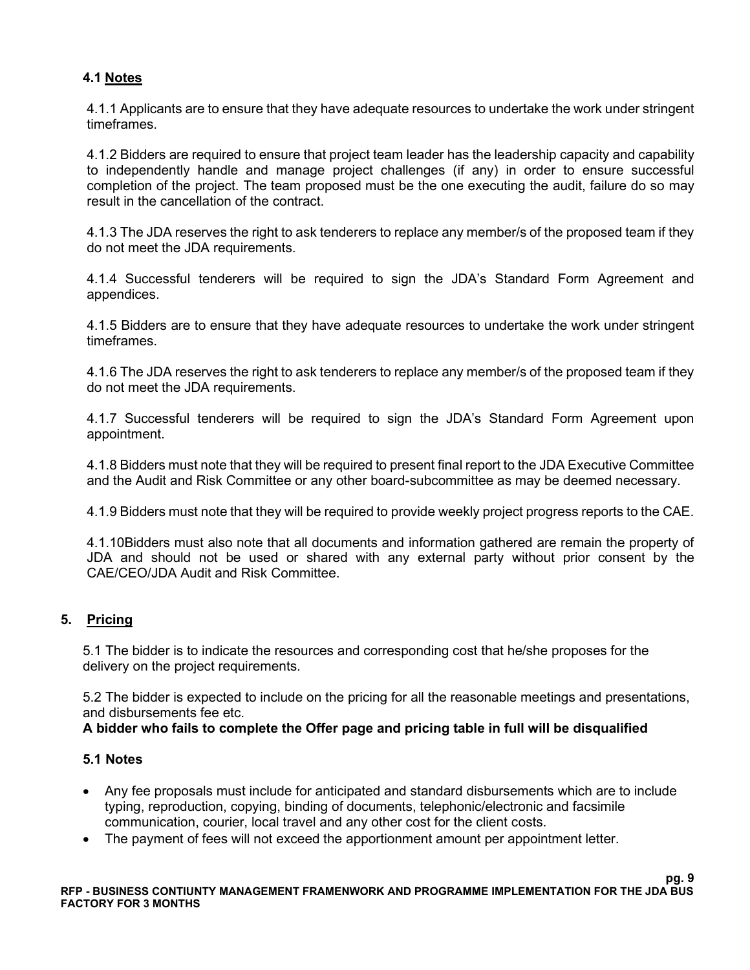# **4.1 Notes**

4.1.1 Applicants are to ensure that they have adequate resources to undertake the work under stringent timeframes.

4.1.2 Bidders are required to ensure that project team leader has the leadership capacity and capability to independently handle and manage project challenges (if any) in order to ensure successful completion of the project. The team proposed must be the one executing the audit, failure do so may result in the cancellation of the contract.

4.1.3 The JDA reserves the right to ask tenderers to replace any member/s of the proposed team if they do not meet the JDA requirements.

4.1.4 Successful tenderers will be required to sign the JDA's Standard Form Agreement and appendices.

4.1.5 Bidders are to ensure that they have adequate resources to undertake the work under stringent timeframes.

4.1.6 The JDA reserves the right to ask tenderers to replace any member/s of the proposed team if they do not meet the JDA requirements.

4.1.7 Successful tenderers will be required to sign the JDA's Standard Form Agreement upon appointment.

4.1.8 Bidders must note that they will be required to present final report to the JDA Executive Committee and the Audit and Risk Committee or any other board-subcommittee as may be deemed necessary.

4.1.9 Bidders must note that they will be required to provide weekly project progress reports to the CAE.

4.1.10Bidders must also note that all documents and information gathered are remain the property of JDA and should not be used or shared with any external party without prior consent by the CAE/CEO/JDA Audit and Risk Committee.

# **5. Pricing**

5.1 The bidder is to indicate the resources and corresponding cost that he/she proposes for the delivery on the project requirements.

5.2 The bidder is expected to include on the pricing for all the reasonable meetings and presentations, and disbursements fee etc.

#### **A bidder who fails to complete the Offer page and pricing table in full will be disqualified**

#### **5.1 Notes**

- Any fee proposals must include for anticipated and standard disbursements which are to include typing, reproduction, copying, binding of documents, telephonic/electronic and facsimile communication, courier, local travel and any other cost for the client costs.
- The payment of fees will not exceed the apportionment amount per appointment letter.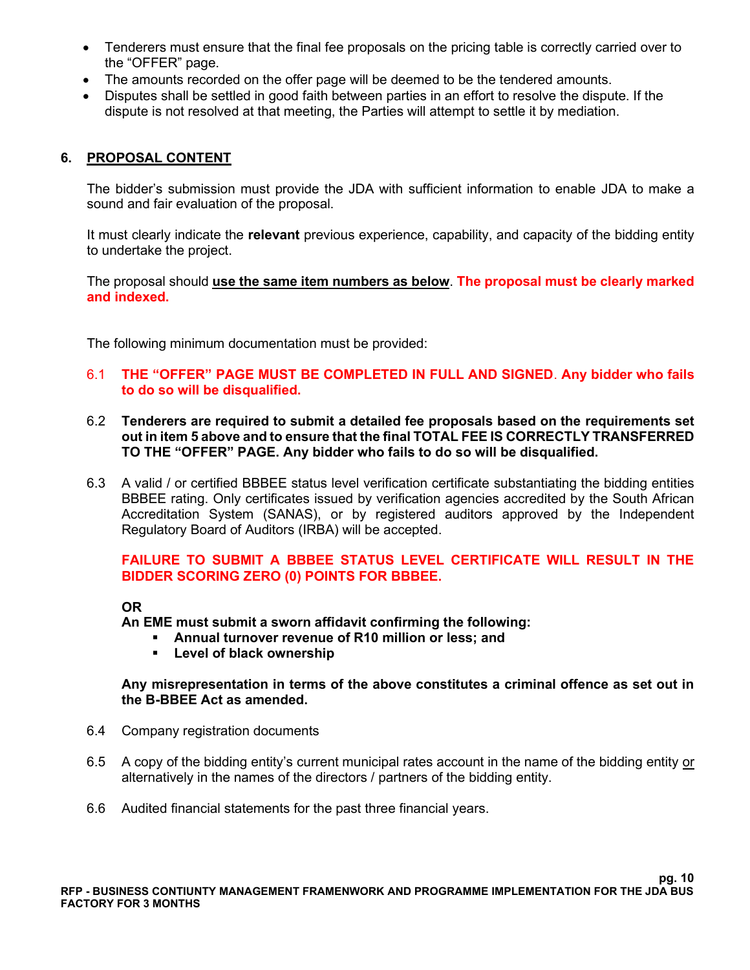- Tenderers must ensure that the final fee proposals on the pricing table is correctly carried over to the "OFFER" page.
- The amounts recorded on the offer page will be deemed to be the tendered amounts.
- Disputes shall be settled in good faith between parties in an effort to resolve the dispute. If the dispute is not resolved at that meeting, the Parties will attempt to settle it by mediation.

#### **6. PROPOSAL CONTENT**

The bidder's submission must provide the JDA with sufficient information to enable JDA to make a sound and fair evaluation of the proposal.

It must clearly indicate the **relevant** previous experience, capability, and capacity of the bidding entity to undertake the project.

The proposal should **use the same item numbers as below**. **The proposal must be clearly marked and indexed.**

The following minimum documentation must be provided:

- 6.1 **THE "OFFER" PAGE MUST BE COMPLETED IN FULL AND SIGNED**. **Any bidder who fails to do so will be disqualified.**
- 6.2 **Tenderers are required to submit a detailed fee proposals based on the requirements set out in item 5 above and to ensure that the final TOTAL FEE IS CORRECTLY TRANSFERRED TO THE "OFFER" PAGE. Any bidder who fails to do so will be disqualified.**
- 6.3 A valid / or certified BBBEE status level verification certificate substantiating the bidding entities BBBEE rating. Only certificates issued by verification agencies accredited by the South African Accreditation System (SANAS), or by registered auditors approved by the Independent Regulatory Board of Auditors (IRBA) will be accepted.

#### **FAILURE TO SUBMIT A BBBEE STATUS LEVEL CERTIFICATE WILL RESULT IN THE BIDDER SCORING ZERO (0) POINTS FOR BBBEE.**

#### **OR**

**An EME must submit a sworn affidavit confirming the following:**

- **Annual turnover revenue of R10 million or less; and**
- **Level of black ownership**

#### **Any misrepresentation in terms of the above constitutes a criminal offence as set out in the B-BBEE Act as amended.**

- 6.4 Company registration documents
- 6.5 A copy of the bidding entity's current municipal rates account in the name of the bidding entity or alternatively in the names of the directors / partners of the bidding entity.
- 6.6 Audited financial statements for the past three financial years.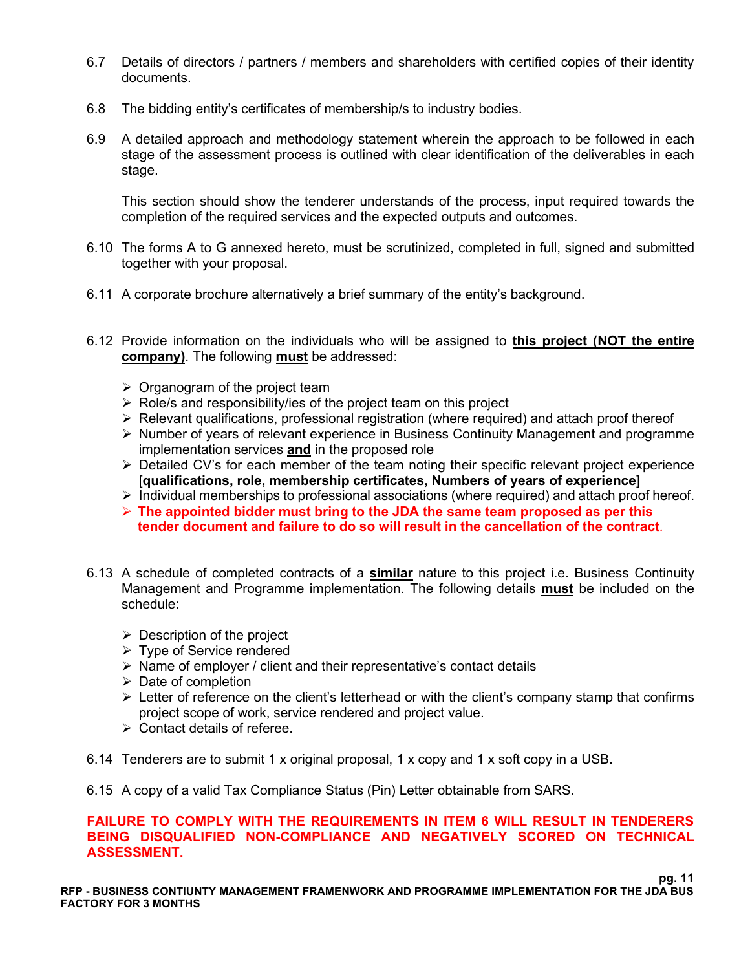- 6.7 Details of directors / partners / members and shareholders with certified copies of their identity documents.
- 6.8 The bidding entity's certificates of membership/s to industry bodies.
- 6.9 A detailed approach and methodology statement wherein the approach to be followed in each stage of the assessment process is outlined with clear identification of the deliverables in each stage.

This section should show the tenderer understands of the process, input required towards the completion of the required services and the expected outputs and outcomes.

- 6.10 The forms A to G annexed hereto, must be scrutinized, completed in full, signed and submitted together with your proposal.
- 6.11 A corporate brochure alternatively a brief summary of the entity's background.
- 6.12 Provide information on the individuals who will be assigned to **this project (NOT the entire company)**. The following **must** be addressed:
	- $\triangleright$  Organogram of the project team
	- $\triangleright$  Role/s and responsibility/ies of the project team on this project
	- ➢ Relevant qualifications, professional registration (where required) and attach proof thereof
	- ➢ Number of years of relevant experience in Business Continuity Management and programme implementation services **and** in the proposed role
	- ➢ Detailed CV's for each member of the team noting their specific relevant project experience [**qualifications, role, membership certificates, Numbers of years of experience**]
	- $\triangleright$  Individual memberships to professional associations (where required) and attach proof hereof.
	- ➢ **The appointed bidder must bring to the JDA the same team proposed as per this tender document and failure to do so will result in the cancellation of the contract***.*
- 6.13 A schedule of completed contracts of a **similar** nature to this project i.e. Business Continuity Management and Programme implementation. The following details **must** be included on the schedule:
	- $\triangleright$  Description of the project
	- ➢ Type of Service rendered
	- ➢ Name of employer / client and their representative's contact details
	- ➢ Date of completion
	- $\triangleright$  Letter of reference on the client's letterhead or with the client's company stamp that confirms project scope of work, service rendered and project value.
	- ➢ Contact details of referee.
- 6.14 Tenderers are to submit 1 x original proposal, 1 x copy and 1 x soft copy in a USB.
- 6.15 A copy of a valid Tax Compliance Status (Pin) Letter obtainable from SARS.

#### **FAILURE TO COMPLY WITH THE REQUIREMENTS IN ITEM 6 WILL RESULT IN TENDERERS BEING DISQUALIFIED NON-COMPLIANCE AND NEGATIVELY SCORED ON TECHNICAL ASSESSMENT.**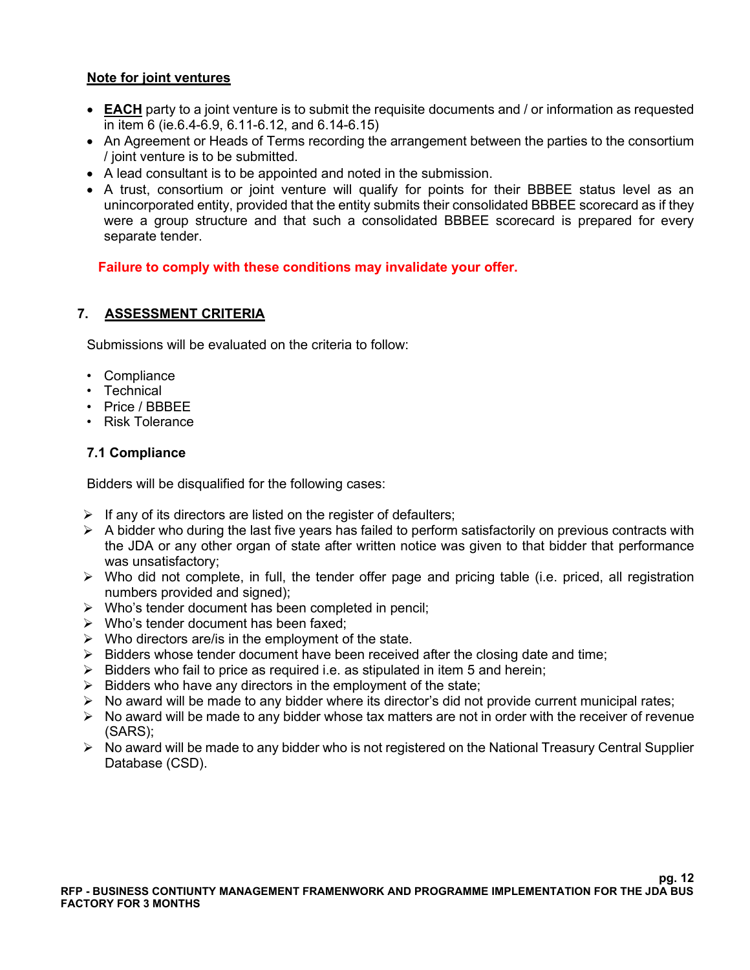# **Note for joint ventures**

- **EACH** party to a joint venture is to submit the requisite documents and / or information as requested in item 6 (ie.6.4-6.9, 6.11-6.12, and 6.14-6.15)
- An Agreement or Heads of Terms recording the arrangement between the parties to the consortium / joint venture is to be submitted.
- A lead consultant is to be appointed and noted in the submission.
- A trust, consortium or joint venture will qualify for points for their BBBEE status level as an unincorporated entity, provided that the entity submits their consolidated BBBEE scorecard as if they were a group structure and that such a consolidated BBBEE scorecard is prepared for every separate tender.

 **Failure to comply with these conditions may invalidate your offer.**

# **7. ASSESSMENT CRITERIA**

Submissions will be evaluated on the criteria to follow:

- Compliance
- Technical
- Price / BBBEE
- Risk Tolerance

# **7.1 Compliance**

Bidders will be disqualified for the following cases:

- $\triangleright$  If any of its directors are listed on the register of defaulters;
- $\triangleright$  A bidder who during the last five years has failed to perform satisfactorily on previous contracts with the JDA or any other organ of state after written notice was given to that bidder that performance was unsatisfactory;
- ➢ Who did not complete, in full, the tender offer page and pricing table (i.e. priced, all registration numbers provided and signed);
- ➢ Who's tender document has been completed in pencil;
- $\triangleright$  Who's tender document has been faxed:
- $\triangleright$  Who directors are/is in the employment of the state.
- $\triangleright$  Bidders whose tender document have been received after the closing date and time;
- $\triangleright$  Bidders who fail to price as required i.e. as stipulated in item 5 and herein;
- $\triangleright$  Bidders who have any directors in the employment of the state;
- ➢ No award will be made to any bidder where its director's did not provide current municipal rates;
- ➢ No award will be made to any bidder whose tax matters are not in order with the receiver of revenue (SARS);
- ➢ No award will be made to any bidder who is not registered on the National Treasury Central Supplier Database (CSD).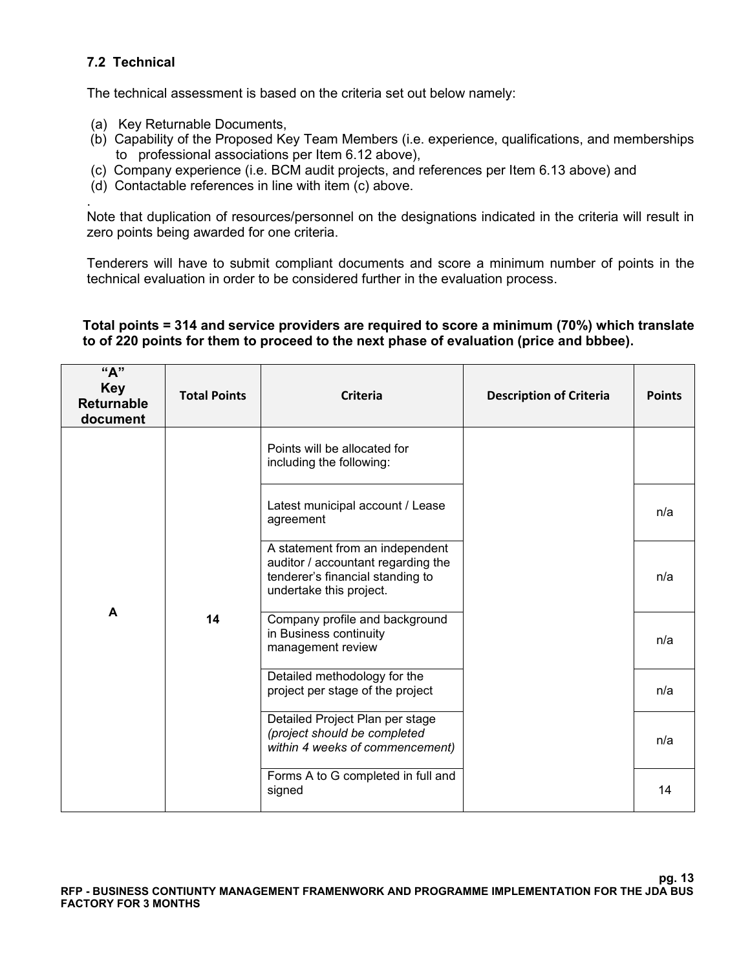# **7.2 Technical**

The technical assessment is based on the criteria set out below namely:

- (a) Key Returnable Documents,
- (b) Capability of the Proposed Key Team Members (i.e. experience, qualifications, and memberships to professional associations per Item 6.12 above),
- (c) Company experience (i.e. BCM audit projects, and references per Item 6.13 above) and
- (d) Contactable references in line with item (c) above.

. Note that duplication of resources/personnel on the designations indicated in the criteria will result in zero points being awarded for one criteria.

Tenderers will have to submit compliant documents and score a minimum number of points in the technical evaluation in order to be considered further in the evaluation process.

#### **Total points = 314 and service providers are required to score a minimum (70%) which translate to of 220 points for them to proceed to the next phase of evaluation (price and bbbee).**

| "A"<br><b>Key</b><br><b>Returnable</b><br>document | <b>Total Points</b> | <b>Criteria</b>                                                                                                                      | <b>Description of Criteria</b> | <b>Points</b> |
|----------------------------------------------------|---------------------|--------------------------------------------------------------------------------------------------------------------------------------|--------------------------------|---------------|
|                                                    |                     | Points will be allocated for<br>including the following:                                                                             |                                |               |
|                                                    |                     | Latest municipal account / Lease<br>agreement                                                                                        |                                | n/a           |
|                                                    |                     | A statement from an independent<br>auditor / accountant regarding the<br>tenderer's financial standing to<br>undertake this project. |                                | n/a           |
| A                                                  | 14                  | Company profile and background<br>in Business continuity<br>management review                                                        |                                | n/a           |
|                                                    |                     | Detailed methodology for the<br>project per stage of the project                                                                     |                                | n/a           |
|                                                    |                     | Detailed Project Plan per stage<br>(project should be completed<br>within 4 weeks of commencement)                                   |                                | n/a           |
|                                                    |                     | Forms A to G completed in full and<br>signed                                                                                         |                                | 14            |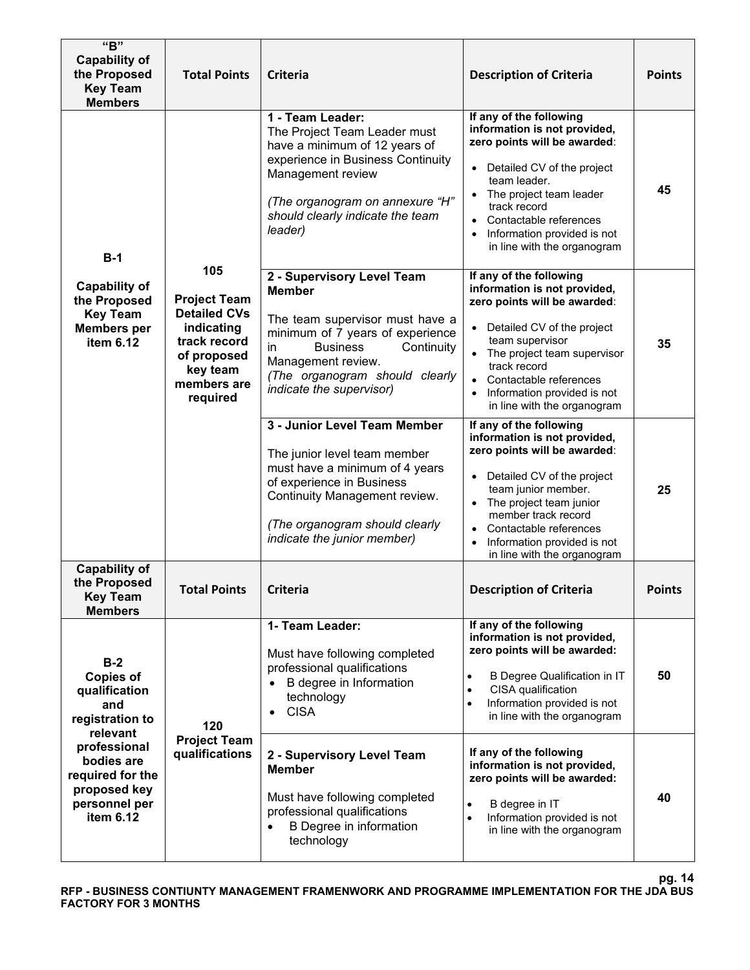| "B"<br><b>Capability of</b><br>the Proposed<br><b>Key Team</b><br><b>Members</b>             | <b>Total Points</b>                                                                                                                   | <b>Criteria</b>                                                                                                                                                                                                                               | <b>Description of Criteria</b>                                                                                                                                                                                                                                                                      | <b>Points</b> |
|----------------------------------------------------------------------------------------------|---------------------------------------------------------------------------------------------------------------------------------------|-----------------------------------------------------------------------------------------------------------------------------------------------------------------------------------------------------------------------------------------------|-----------------------------------------------------------------------------------------------------------------------------------------------------------------------------------------------------------------------------------------------------------------------------------------------------|---------------|
| $B-1$                                                                                        |                                                                                                                                       | 1 - Team Leader:<br>The Project Team Leader must<br>have a minimum of 12 years of<br>experience in Business Continuity<br>Management review<br>(The organogram on annexure "H"<br>should clearly indicate the team<br>leader)                 | If any of the following<br>information is not provided,<br>zero points will be awarded:<br>Detailed CV of the project<br>$\bullet$<br>team leader.<br>The project team leader<br>track record<br>• Contactable references<br>Information provided is not<br>in line with the organogram             | 45            |
| <b>Capability of</b><br>the Proposed<br><b>Key Team</b><br><b>Members</b> per<br>item 6.12   | 105<br><b>Project Team</b><br><b>Detailed CVs</b><br>indicating<br>track record<br>of proposed<br>key team<br>members are<br>required | 2 - Supervisory Level Team<br><b>Member</b><br>The team supervisor must have a<br>minimum of 7 years of experience<br><b>Business</b><br>Continuity<br>in<br>Management review.<br>(The organogram should clearly<br>indicate the supervisor) | If any of the following<br>information is not provided,<br>zero points will be awarded:<br>Detailed CV of the project<br>team supervisor<br>• The project team supervisor<br>track record<br>Contactable references<br>Information provided is not<br>in line with the organogram                   | 35            |
|                                                                                              |                                                                                                                                       | 3 - Junior Level Team Member<br>The junior level team member<br>must have a minimum of 4 years<br>of experience in Business<br>Continuity Management review.<br>(The organogram should clearly<br>indicate the junior member)                 | If any of the following<br>information is not provided,<br>zero points will be awarded:<br>Detailed CV of the project<br>$\bullet$<br>team junior member.<br>The project team junior<br>member track record<br>Contactable references<br>Information provided is not<br>in line with the organogram | 25            |
| <b>Capability of</b><br>the Proposed<br><b>Key Team</b><br><b>Members</b>                    | Total Points                                                                                                                          | Criteria                                                                                                                                                                                                                                      | <b>Description of Criteria</b>                                                                                                                                                                                                                                                                      | <b>Points</b> |
| $B-2$<br><b>Copies of</b><br>qualification<br>and<br>registration to<br>relevant             | 120                                                                                                                                   | 1- Team Leader:<br>Must have following completed<br>professional qualifications<br>B degree in Information<br>technology<br><b>CISA</b>                                                                                                       | If any of the following<br>information is not provided,<br>zero points will be awarded:<br>B Degree Qualification in IT<br>CISA qualification<br>$\bullet$<br>Information provided is not<br>$\bullet$<br>in line with the organogram                                                               | 50            |
| professional<br>bodies are<br>required for the<br>proposed key<br>personnel per<br>item 6.12 | <b>Project Team</b><br>qualifications                                                                                                 | 2 - Supervisory Level Team<br><b>Member</b><br>Must have following completed<br>professional qualifications<br>B Degree in information<br>technology                                                                                          | If any of the following<br>information is not provided,<br>zero points will be awarded:<br>B degree in IT<br>$\bullet$<br>Information provided is not<br>$\bullet$<br>in line with the organogram                                                                                                   | 40            |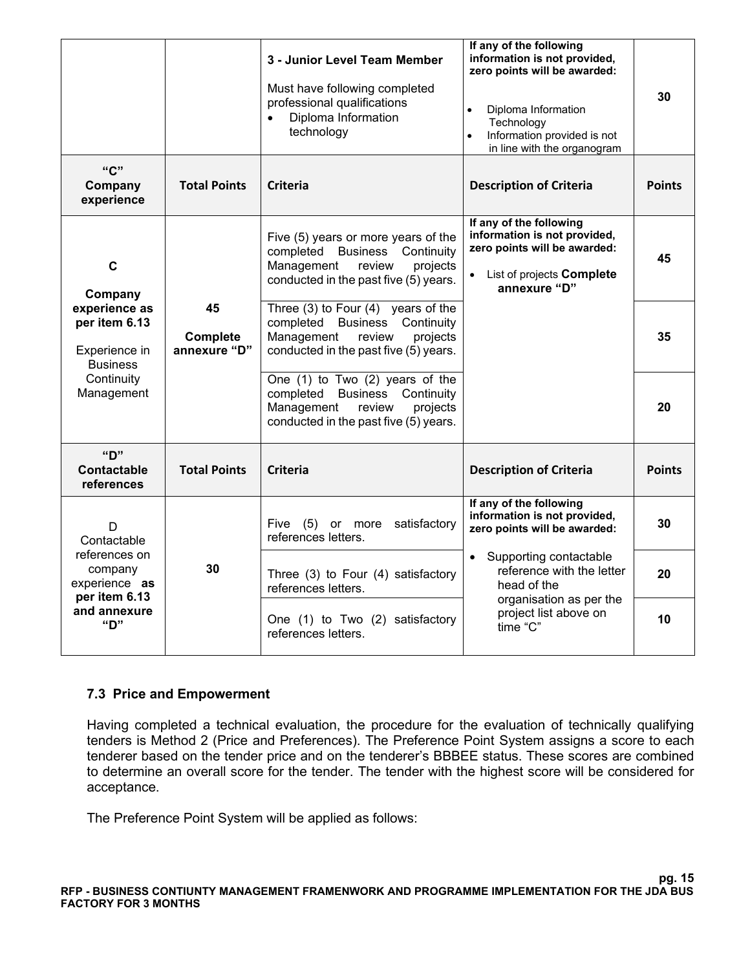|                                                                                   |                                | 3 - Junior Level Team Member<br>Must have following completed<br>professional qualifications<br>Diploma Information<br>technology                       | If any of the following<br>information is not provided,<br>zero points will be awarded:<br>Diploma Information<br>$\bullet$<br>Technology<br>Information provided is not<br>$\bullet$<br>in line with the organogram | 30            |
|-----------------------------------------------------------------------------------|--------------------------------|---------------------------------------------------------------------------------------------------------------------------------------------------------|----------------------------------------------------------------------------------------------------------------------------------------------------------------------------------------------------------------------|---------------|
| "C"<br>Company<br>experience                                                      | <b>Total Points</b>            | Criteria                                                                                                                                                | <b>Description of Criteria</b>                                                                                                                                                                                       | <b>Points</b> |
| $\mathbf c$<br>Company                                                            |                                | Five (5) years or more years of the<br>completed<br>Business<br>Continuity<br>Management<br>review<br>projects<br>conducted in the past five (5) years. | If any of the following<br>information is not provided,<br>zero points will be awarded:<br>List of projects <b>Complete</b><br>annexure "D"                                                                          | 45            |
| experience as<br>per item 6.13<br>Experience in<br><b>Business</b>                | 45<br>Complete<br>annexure "D" | Three $(3)$ to Four $(4)$ years of the<br>completed Business Continuity<br>Management<br>review<br>projects<br>conducted in the past five (5) years.    |                                                                                                                                                                                                                      | 35            |
| Continuity<br>Management                                                          |                                | One (1) to Two (2) years of the<br>completed<br>Business<br>Continuity<br>Management<br>projects<br>review<br>conducted in the past five (5) years.     |                                                                                                                                                                                                                      | 20            |
| "ח<br>Contactable<br>references                                                   | <b>Total Points</b>            | <b>Criteria</b>                                                                                                                                         | <b>Description of Criteria</b>                                                                                                                                                                                       | <b>Points</b> |
| D<br>Contactable                                                                  |                                | Five (5) or more<br>satisfactory<br>references letters.                                                                                                 | If any of the following<br>information is not provided,<br>zero points will be awarded:                                                                                                                              | 30            |
| references on<br>company<br>experience as<br>per item 6.13<br>and annexure<br>"D" | 30                             | Three (3) to Four (4) satisfactory<br>references letters.                                                                                               | Supporting contactable<br>$\bullet$<br>reference with the letter<br>head of the                                                                                                                                      | 20            |
|                                                                                   |                                | One (1) to Two (2) satisfactory<br>references letters.                                                                                                  | organisation as per the<br>project list above on<br>time "C"                                                                                                                                                         | 10            |

#### **7.3 Price and Empowerment**

Having completed a technical evaluation, the procedure for the evaluation of technically qualifying tenders is Method 2 (Price and Preferences). The Preference Point System assigns a score to each tenderer based on the tender price and on the tenderer's BBBEE status. These scores are combined to determine an overall score for the tender. The tender with the highest score will be considered for acceptance.

The Preference Point System will be applied as follows: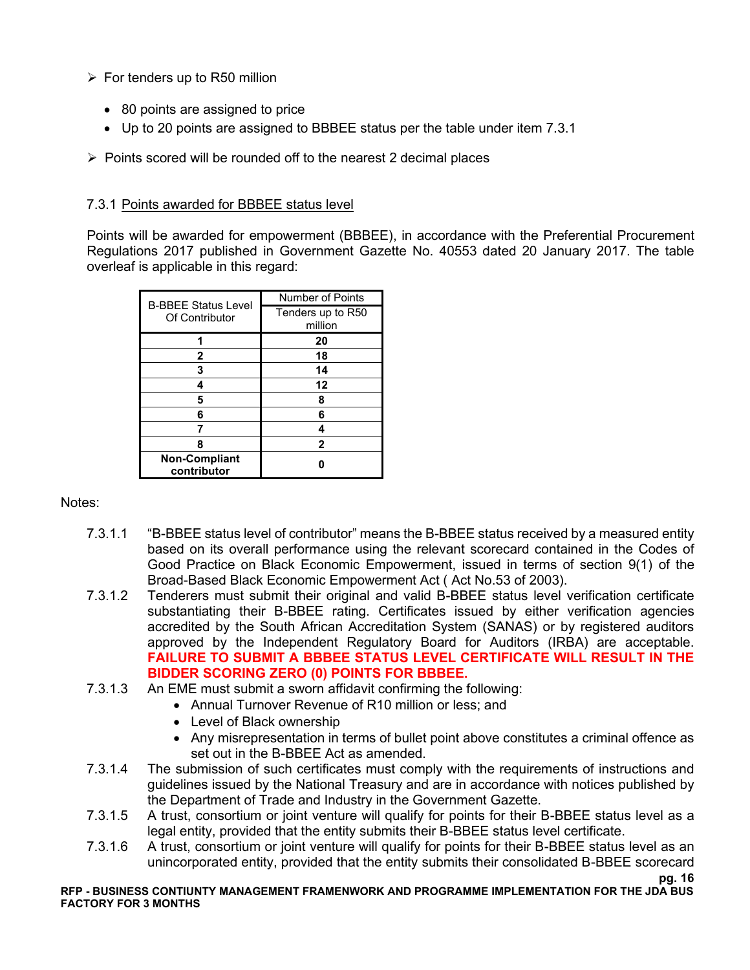- $\triangleright$  For tenders up to R50 million
	- 80 points are assigned to price
	- Up to 20 points are assigned to BBBEE status per the table under item 7.3.1
- ➢ Points scored will be rounded off to the nearest 2 decimal places

#### 7.3.1 Points awarded for BBBEE status level

Points will be awarded for empowerment (BBBEE), in accordance with the Preferential Procurement Regulations 2017 published in Government Gazette No. 40553 dated 20 January 2017. The table overleaf is applicable in this regard:

| <b>B-BBEE Status Level</b> | Number of Points  |
|----------------------------|-------------------|
| Of Contributor             | Tenders up to R50 |
|                            | million           |
|                            | 20                |
| $\mathbf{2}$               | 18                |
| 3                          | 14                |
|                            | 12                |
| 5                          | 8                 |
| 6                          | 6                 |
|                            |                   |
| 8                          | 2                 |
| Non-Compliant              |                   |
| contributor                |                   |

#### Notes:

- 7.3.1.1 "B-BBEE status level of contributor" means the B-BBEE status received by a measured entity based on its overall performance using the relevant scorecard contained in the Codes of Good Practice on Black Economic Empowerment, issued in terms of section 9(1) of the Broad-Based Black Economic Empowerment Act ( Act No.53 of 2003).
- 7.3.1.2 Tenderers must submit their original and valid B-BBEE status level verification certificate substantiating their B-BBEE rating. Certificates issued by either verification agencies accredited by the South African Accreditation System (SANAS) or by registered auditors approved by the Independent Regulatory Board for Auditors (IRBA) are acceptable. **FAILURE TO SUBMIT A BBBEE STATUS LEVEL CERTIFICATE WILL RESULT IN THE BIDDER SCORING ZERO (0) POINTS FOR BBBEE.**
- 7.3.1.3 An EME must submit a sworn affidavit confirming the following:
	- Annual Turnover Revenue of R10 million or less; and
	- Level of Black ownership
	- Any misrepresentation in terms of bullet point above constitutes a criminal offence as set out in the B-BBEE Act as amended.
- 7.3.1.4 The submission of such certificates must comply with the requirements of instructions and guidelines issued by the National Treasury and are in accordance with notices published by the Department of Trade and Industry in the Government Gazette.
- 7.3.1.5 A trust, consortium or joint venture will qualify for points for their B-BBEE status level as a legal entity, provided that the entity submits their B-BBEE status level certificate.
- 7.3.1.6 A trust, consortium or joint venture will qualify for points for their B-BBEE status level as an unincorporated entity, provided that the entity submits their consolidated B-BBEE scorecard

**pg. 16**

#### **RFP - BUSINESS CONTIUNTY MANAGEMENT FRAMENWORK AND PROGRAMME IMPLEMENTATION FOR THE JDA BUS FACTORY FOR 3 MONTHS**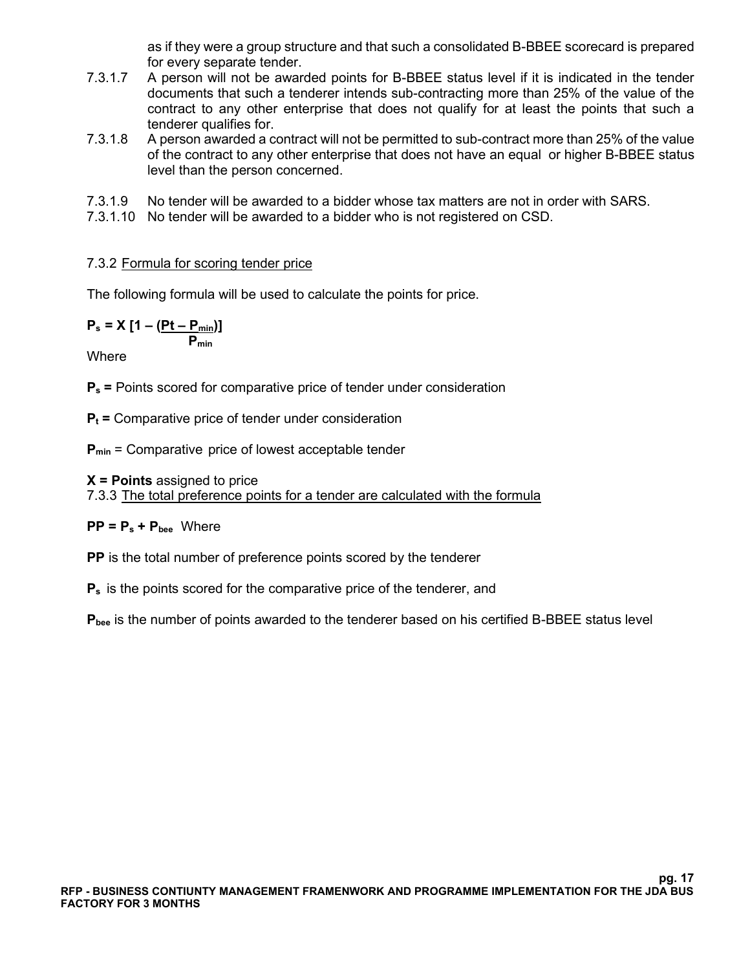as if they were a group structure and that such a consolidated B-BBEE scorecard is prepared for every separate tender.

- 7.3.1.7 A person will not be awarded points for B-BBEE status level if it is indicated in the tender documents that such a tenderer intends sub-contracting more than 25% of the value of the contract to any other enterprise that does not qualify for at least the points that such a tenderer qualifies for.
- 7.3.1.8 A person awarded a contract will not be permitted to sub-contract more than 25% of the value of the contract to any other enterprise that does not have an equal or higher B-BBEE status level than the person concerned.
- 7.3.1.9 No tender will be awarded to a bidder whose tax matters are not in order with SARS.
- 7.3.1.10 No tender will be awarded to a bidder who is not registered on CSD.

#### 7.3.2 Formula for scoring tender price

The following formula will be used to calculate the points for price.

$$
P_s = X \left[ 1 - \frac{(Pt - P_{\min})}{P_{\min}} \right]
$$

**Where** 

**P<sup>s</sup> =** Points scored for comparative price of tender under consideration

**P<sup>t</sup> =** Comparative price of tender under consideration

**Pmin** = Comparative price of lowest acceptable tender

#### **X = Points** assigned to price

7.3.3 The total preference points for a tender are calculated with the formula

#### $PP = P_s + P_{\text{bee}}$  Where

**PP** is the total number of preference points scored by the tenderer

**P<sup>s</sup>** is the points scored for the comparative price of the tenderer, and

**Pbee** is the number of points awarded to the tenderer based on his certified B-BBEE status level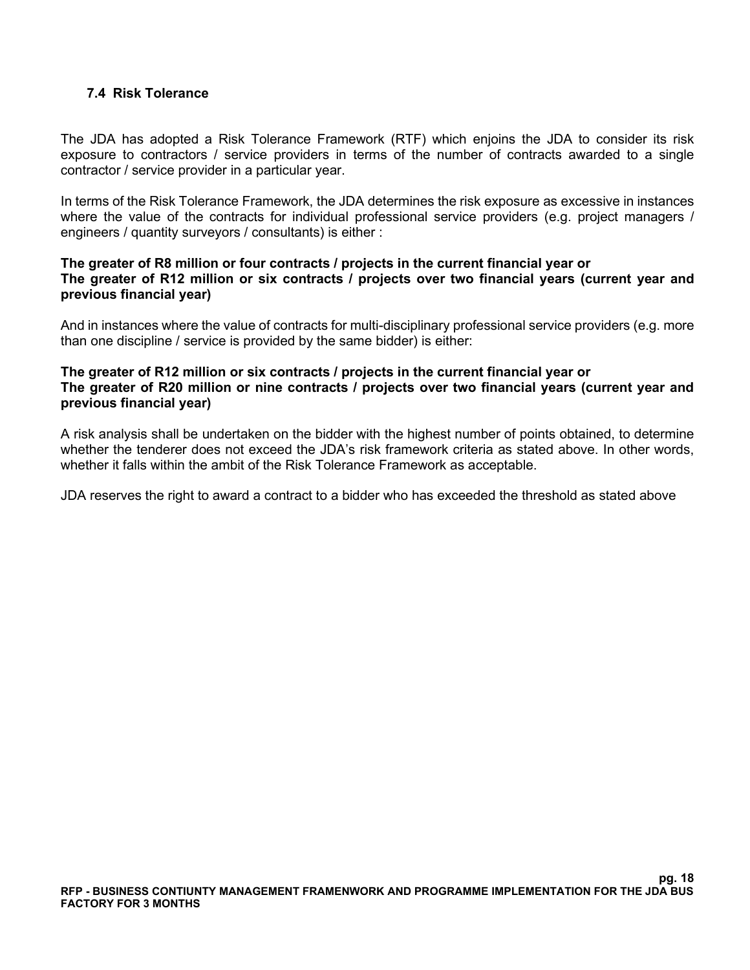# **7.4 Risk Tolerance**

The JDA has adopted a Risk Tolerance Framework (RTF) which enjoins the JDA to consider its risk exposure to contractors / service providers in terms of the number of contracts awarded to a single contractor / service provider in a particular year.

In terms of the Risk Tolerance Framework, the JDA determines the risk exposure as excessive in instances where the value of the contracts for individual professional service providers (e.g. project managers / engineers / quantity surveyors / consultants) is either :

#### **The greater of R8 million or four contracts / projects in the current financial year or The greater of R12 million or six contracts / projects over two financial years (current year and previous financial year)**

And in instances where the value of contracts for multi-disciplinary professional service providers (e.g. more than one discipline / service is provided by the same bidder) is either:

#### **The greater of R12 million or six contracts / projects in the current financial year or The greater of R20 million or nine contracts / projects over two financial years (current year and previous financial year)**

A risk analysis shall be undertaken on the bidder with the highest number of points obtained, to determine whether the tenderer does not exceed the JDA's risk framework criteria as stated above. In other words, whether it falls within the ambit of the Risk Tolerance Framework as acceptable.

JDA reserves the right to award a contract to a bidder who has exceeded the threshold as stated above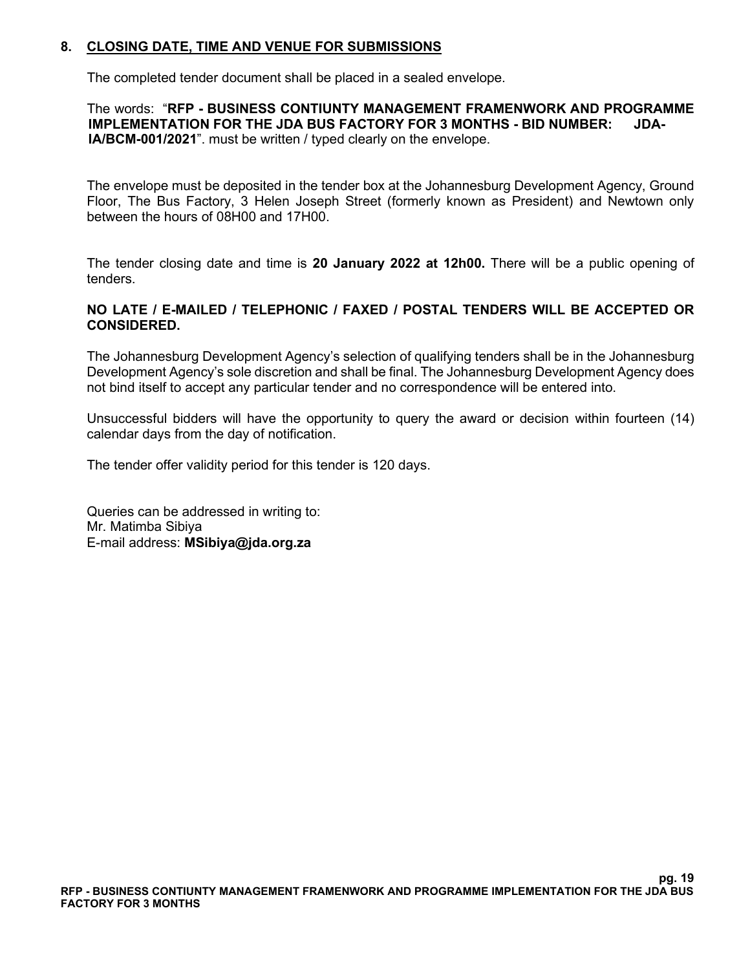# **8. CLOSING DATE, TIME AND VENUE FOR SUBMISSIONS**

The completed tender document shall be placed in a sealed envelope.

 The words: "**RFP - BUSINESS CONTIUNTY MANAGEMENT FRAMENWORK AND PROGRAMME IMPLEMENTATION FOR THE JDA BUS FACTORY FOR 3 MONTHS - BID NUMBER: JDA-IA/BCM-001/2021**". must be written / typed clearly on the envelope.

The envelope must be deposited in the tender box at the Johannesburg Development Agency, Ground Floor, The Bus Factory, 3 Helen Joseph Street (formerly known as President) and Newtown only between the hours of 08H00 and 17H00.

The tender closing date and time is **20 January 2022 at 12h00.** There will be a public opening of tenders.

#### **NO LATE / E-MAILED / TELEPHONIC / FAXED / POSTAL TENDERS WILL BE ACCEPTED OR CONSIDERED.**

The Johannesburg Development Agency's selection of qualifying tenders shall be in the Johannesburg Development Agency's sole discretion and shall be final. The Johannesburg Development Agency does not bind itself to accept any particular tender and no correspondence will be entered into.

Unsuccessful bidders will have the opportunity to query the award or decision within fourteen (14) calendar days from the day of notification.

The tender offer validity period for this tender is 120 days.

Queries can be addressed in writing to: Mr. Matimba Sibiya E-mail address: **MSibiya@jda.org.za**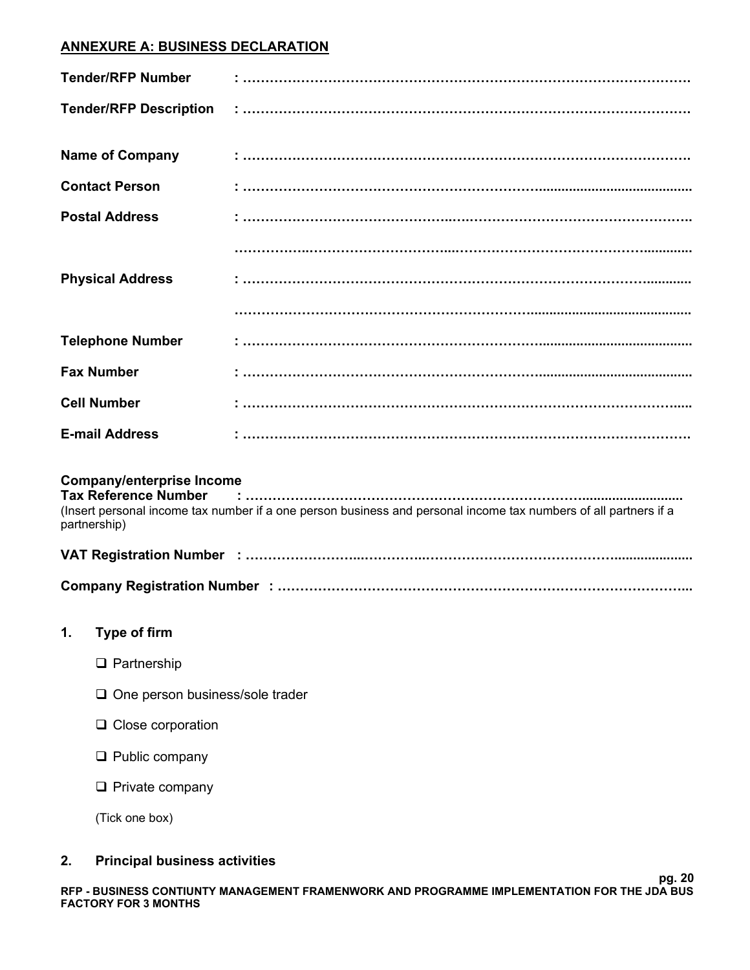# **ANNEXURE A: BUSINESS DECLARATION**

| <b>Tender/RFP Number</b>      | $\mathbf{r}$ . The communication communication communication communication communication                                                                                                                                                                                                                                                                                                                                                                                                                                                                                    |
|-------------------------------|-----------------------------------------------------------------------------------------------------------------------------------------------------------------------------------------------------------------------------------------------------------------------------------------------------------------------------------------------------------------------------------------------------------------------------------------------------------------------------------------------------------------------------------------------------------------------------|
| <b>Tender/RFP Description</b> | $\begin{array}{l} \begin{array}{l} \bullet \end{array} \begin{array}{l} \begin{array}{l} \bullet \end{array} \begin{array}{l} \begin{array}{l} \bullet \end{array} \end{array} \begin{array}{l} \begin{array}{l} \begin{array}{l} \bullet \end{array} \end{array} \end{array} \begin{array}{l} \begin{array}{l} \begin{array}{l} \bullet \end{array} \end{array} \end{array} \begin{array}{l} \begin{array}{l} \begin{array}{l} \bullet \end{array} \end{array} \end{array} \end{array} \begin{array}{l} \begin{array}{l} \begin{array}{l} \bullet \end{array} \end{array}$ |
| <b>Name of Company</b>        | $\ddotsc$ . The component component component component component component component component component component component component component component component component component component component component componen                                                                                                                                                                                                                                                                                                                                            |
| <b>Contact Person</b>         |                                                                                                                                                                                                                                                                                                                                                                                                                                                                                                                                                                             |
| <b>Postal Address</b>         |                                                                                                                                                                                                                                                                                                                                                                                                                                                                                                                                                                             |
|                               |                                                                                                                                                                                                                                                                                                                                                                                                                                                                                                                                                                             |
| <b>Physical Address</b>       |                                                                                                                                                                                                                                                                                                                                                                                                                                                                                                                                                                             |
|                               |                                                                                                                                                                                                                                                                                                                                                                                                                                                                                                                                                                             |
| <b>Telephone Number</b>       |                                                                                                                                                                                                                                                                                                                                                                                                                                                                                                                                                                             |
| <b>Fax Number</b>             |                                                                                                                                                                                                                                                                                                                                                                                                                                                                                                                                                                             |
| <b>Cell Number</b>            |                                                                                                                                                                                                                                                                                                                                                                                                                                                                                                                                                                             |
| <b>E-mail Address</b>         |                                                                                                                                                                                                                                                                                                                                                                                                                                                                                                                                                                             |

# **Company/enterprise Income**

| <b>Tax Reference Number</b> |                                                                                                                  |
|-----------------------------|------------------------------------------------------------------------------------------------------------------|
| partnership)                | (Insert personal income tax number if a one person business and personal income tax numbers of all partners if a |

|--|--|--|

# **1. Type of firm**

- ❑ Partnership
- ❑ One person business/sole trader
- ❑ Close corporation
- ❑ Public company
- ❑ Private company

(Tick one box)

# **2. Principal business activities**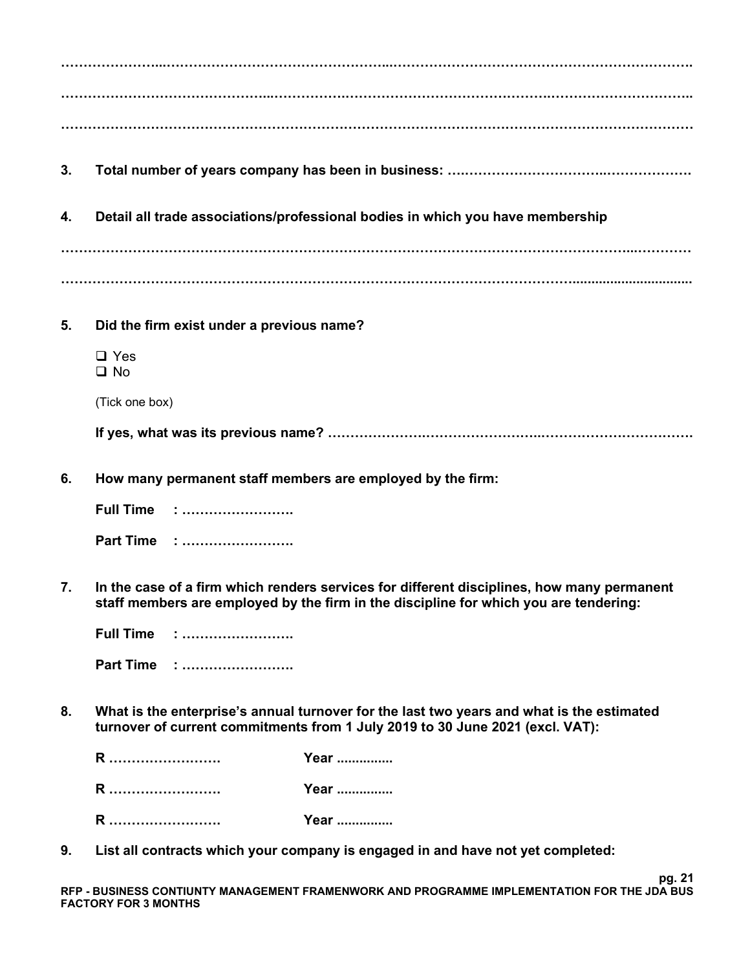| 3. |                                                            |                                                                                                                                                                                     |  |  |
|----|------------------------------------------------------------|-------------------------------------------------------------------------------------------------------------------------------------------------------------------------------------|--|--|
| 4. |                                                            | Detail all trade associations/professional bodies in which you have membership                                                                                                      |  |  |
|    |                                                            |                                                                                                                                                                                     |  |  |
| 5. | Did the firm exist under a previous name?                  |                                                                                                                                                                                     |  |  |
|    | $\Box$ Yes<br>$\Box$ No                                    |                                                                                                                                                                                     |  |  |
|    | (Tick one box)                                             |                                                                                                                                                                                     |  |  |
|    |                                                            |                                                                                                                                                                                     |  |  |
| 6. | How many permanent staff members are employed by the firm: |                                                                                                                                                                                     |  |  |
|    | Full Time :                                                |                                                                                                                                                                                     |  |  |
|    | Part Time :                                                |                                                                                                                                                                                     |  |  |
| 7. |                                                            | In the case of a firm which renders services for different disciplines, how many permanent<br>staff members are employed by the firm in the discipline for which you are tendering: |  |  |
|    | <b>Full Time</b>                                           |                                                                                                                                                                                     |  |  |
|    | Part Time :                                                |                                                                                                                                                                                     |  |  |
| 8. |                                                            | What is the enterprise's annual turnover for the last two years and what is the estimated<br>turnover of current commitments from 1 July 2019 to 30 June 2021 (excl. VAT):          |  |  |
|    | R                                                          | Year                                                                                                                                                                                |  |  |
|    | R                                                          | Year                                                                                                                                                                                |  |  |
|    | R                                                          | Year                                                                                                                                                                                |  |  |

**9. List all contracts which your company is engaged in and have not yet completed:**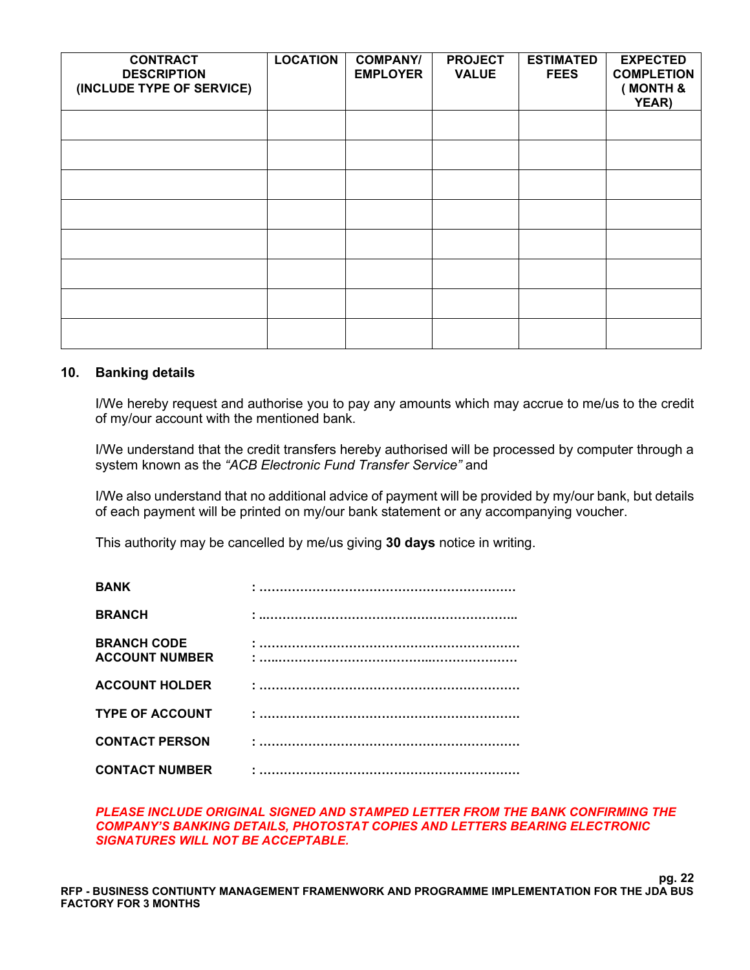| <b>CONTRACT</b><br><b>DESCRIPTION</b><br>(INCLUDE TYPE OF SERVICE) | <b>LOCATION</b> | <b>COMPANY/</b><br><b>EMPLOYER</b> | <b>PROJECT</b><br><b>VALUE</b> | <b>ESTIMATED</b><br><b>FEES</b> | <b>EXPECTED</b><br><b>COMPLETION</b><br>(MONTH &<br>YEAR) |
|--------------------------------------------------------------------|-----------------|------------------------------------|--------------------------------|---------------------------------|-----------------------------------------------------------|
|                                                                    |                 |                                    |                                |                                 |                                                           |
|                                                                    |                 |                                    |                                |                                 |                                                           |
|                                                                    |                 |                                    |                                |                                 |                                                           |
|                                                                    |                 |                                    |                                |                                 |                                                           |
|                                                                    |                 |                                    |                                |                                 |                                                           |
|                                                                    |                 |                                    |                                |                                 |                                                           |
|                                                                    |                 |                                    |                                |                                 |                                                           |
|                                                                    |                 |                                    |                                |                                 |                                                           |

#### **10. Banking details**

I/We hereby request and authorise you to pay any amounts which may accrue to me/us to the credit of my/our account with the mentioned bank.

I/We understand that the credit transfers hereby authorised will be processed by computer through a system known as the *"ACB Electronic Fund Transfer Service"* and

I/We also understand that no additional advice of payment will be provided by my/our bank, but details of each payment will be printed on my/our bank statement or any accompanying voucher.

This authority may be cancelled by me/us giving **30 days** notice in writing.

| <b>BANK</b>                                 |  |
|---------------------------------------------|--|
| <b>BRANCH</b>                               |  |
| <b>BRANCH CODE</b><br><b>ACCOUNT NUMBER</b> |  |
| <b>ACCOUNT HOLDER</b>                       |  |
| <b>TYPE OF ACCOUNT</b>                      |  |
| <b>CONTACT PERSON</b>                       |  |
| <b>CONTACT NUMBER</b>                       |  |

#### *PLEASE INCLUDE ORIGINAL SIGNED AND STAMPED LETTER FROM THE BANK CONFIRMING THE COMPANY'S BANKING DETAILS, PHOTOSTAT COPIES AND LETTERS BEARING ELECTRONIC SIGNATURES WILL NOT BE ACCEPTABLE.*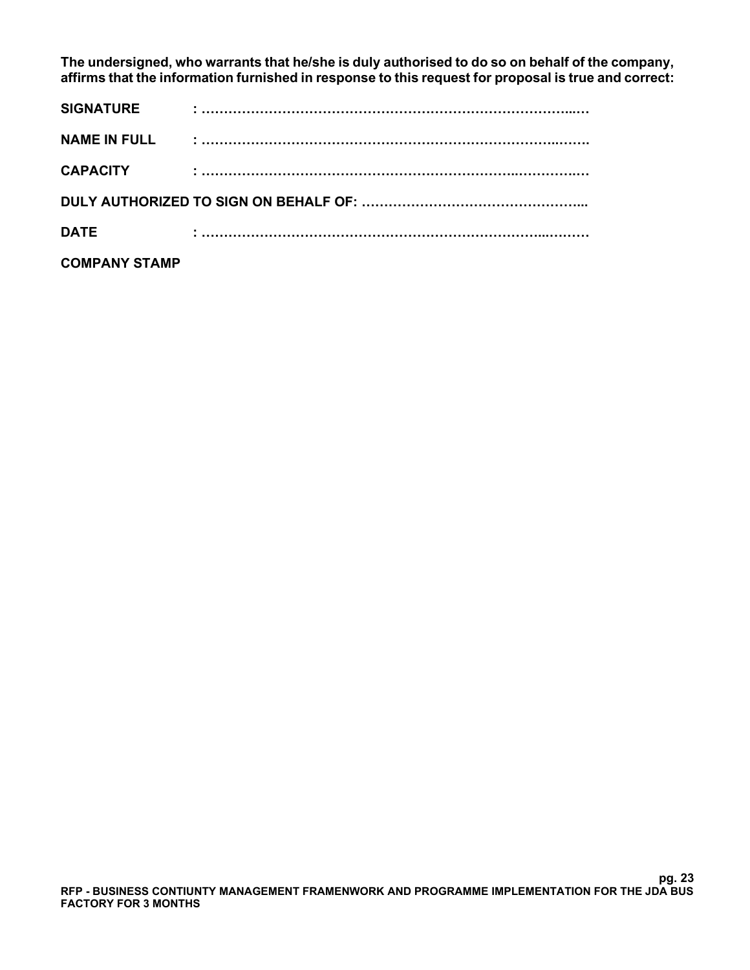**The undersigned, who warrants that he/she is duly authorised to do so on behalf of the company, affirms that the information furnished in response to this request for proposal is true and correct:**

| <b>SIGNATURE</b>     |  |
|----------------------|--|
|                      |  |
| <b>CAPACITY</b>      |  |
|                      |  |
| <b>DATE</b>          |  |
| <b>COMPANY STAMP</b> |  |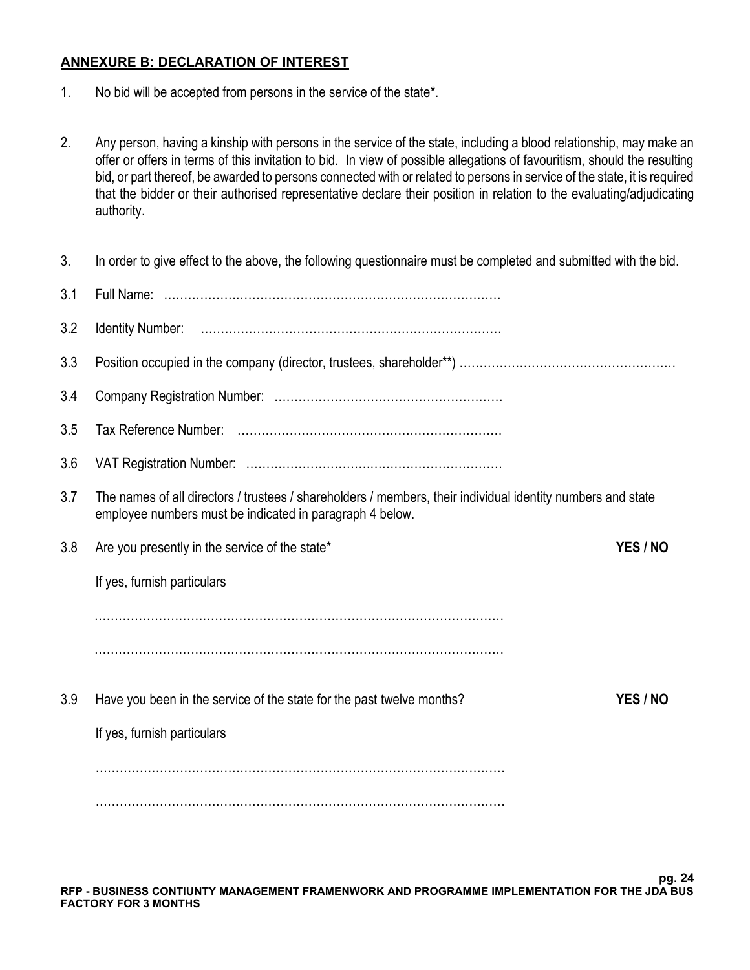#### **ANNEXURE B: DECLARATION OF INTEREST**

- 1. No bid will be accepted from persons in the service of the state\*.
- 2. Any person, having a kinship with persons in the service of the state, including a blood relationship, may make an offer or offers in terms of this invitation to bid. In view of possible allegations of favouritism, should the resulting bid, or part thereof, be awarded to persons connected with or related to persons in service of the state, it is required that the bidder or their authorised representative declare their position in relation to the evaluating/adjudicating authority.

| 3.  | In order to give effect to the above, the following questionnaire must be completed and submitted with the bid.                                                         |          |
|-----|-------------------------------------------------------------------------------------------------------------------------------------------------------------------------|----------|
| 3.1 |                                                                                                                                                                         |          |
| 3.2 |                                                                                                                                                                         |          |
| 3.3 |                                                                                                                                                                         |          |
| 3.4 |                                                                                                                                                                         |          |
| 3.5 |                                                                                                                                                                         |          |
| 3.6 |                                                                                                                                                                         |          |
| 3.7 | The names of all directors / trustees / shareholders / members, their individual identity numbers and state<br>employee numbers must be indicated in paragraph 4 below. |          |
| 3.8 | Are you presently in the service of the state*                                                                                                                          | YES / NO |
|     | If yes, furnish particulars                                                                                                                                             |          |
|     |                                                                                                                                                                         |          |
|     |                                                                                                                                                                         |          |
| 3.9 | Have you been in the service of the state for the past twelve months?                                                                                                   | YES / NO |
|     | If yes, furnish particulars                                                                                                                                             |          |
|     |                                                                                                                                                                         |          |
|     |                                                                                                                                                                         |          |
|     |                                                                                                                                                                         |          |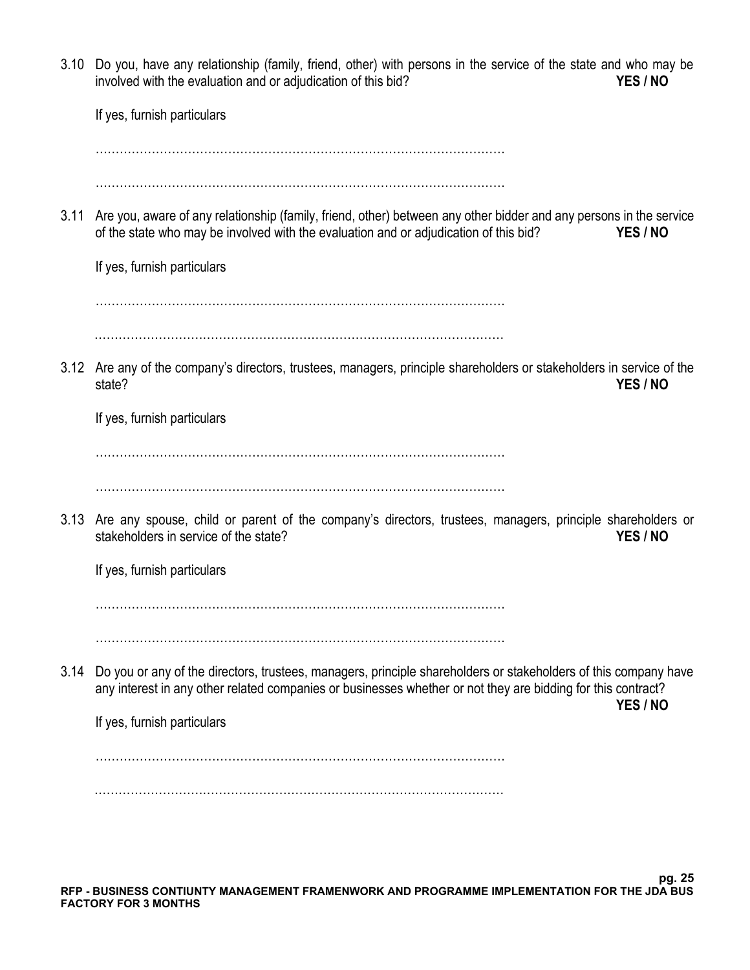3.10 Do you, have any relationship (family, friend, other) with persons in the service of the state and who may be involved with the evaluation and or adjudication of this bid? **YES / NO** If yes, furnish particulars ………………………………………………………………………………………… ………………………………………………………………………………………… 3.11 Are you, aware of any relationship (family, friend, other) between any other bidder and any persons in the service of the state who may be involved with the evaluation and or adjudication of this bid? **YES / NO** If yes, furnish particulars ………………………………………………………………………………………… ………………………………………………………………………………………… 3.12 Are any of the company's directors, trustees, managers, principle shareholders or stakeholders in service of the state? **YES / NO** If yes, furnish particulars ………………………………………………………………………………………… ………………………………………………………………………………………… 3.13 Are any spouse, child or parent of the company's directors, trustees, managers, principle shareholders or stakeholders in service of the state? **YES / NO** If yes, furnish particulars ………………………………………………………………………………………… ………………………………………………………………………………………… 3.14 Do you or any of the directors, trustees, managers, principle shareholders or stakeholders of this company have any interest in any other related companies or businesses whether or not they are bidding for this contract? **YES / NO** If yes, furnish particulars ………………………………………………………………………………………… …………………………………………………………………………………………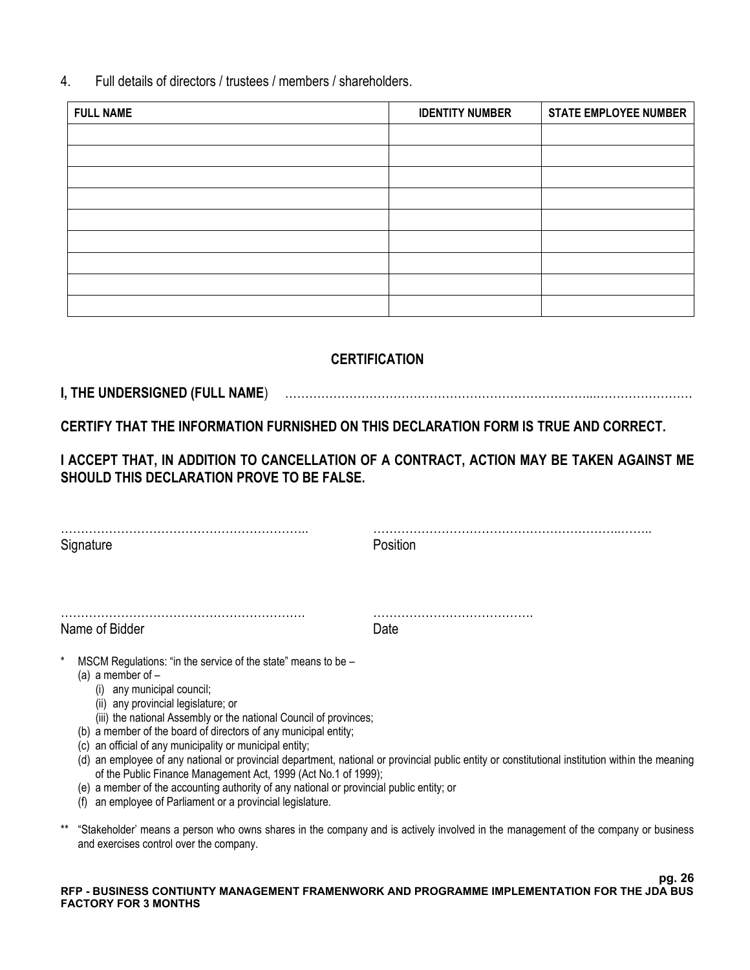4. Full details of directors / trustees / members / shareholders.

| <b>FULL NAME</b> | <b>IDENTITY NUMBER</b> | <b>STATE EMPLOYEE NUMBER</b> |
|------------------|------------------------|------------------------------|
|                  |                        |                              |
|                  |                        |                              |
|                  |                        |                              |
|                  |                        |                              |
|                  |                        |                              |
|                  |                        |                              |
|                  |                        |                              |
|                  |                        |                              |
|                  |                        |                              |

# **CERTIFICATION**

**I, THE UNDERSIGNED (FULL NAME**) …………………………………………………………………...……………………

**CERTIFY THAT THE INFORMATION FURNISHED ON THIS DECLARATION FORM IS TRUE AND CORRECT.** 

**I ACCEPT THAT, IN ADDITION TO CANCELLATION OF A CONTRACT, ACTION MAY BE TAKEN AGAINST ME SHOULD THIS DECLARATION PROVE TO BE FALSE.** 

…………………………………………………….. ……………………………………………………..…….. Signature **Position** ……………………………………………………. …………………………………. Name of Bidder **Date** MSCM Regulations: "in the service of the state" means to be  $-$ (a) a member of  $-$ (i) any municipal council; (ii) any provincial legislature; or (iii) the national Assembly or the national Council of provinces; (b) a member of the board of directors of any municipal entity; (c) an official of any municipality or municipal entity; (d) an employee of any national or provincial department, national or provincial public entity or constitutional institution within the meaning of the Public Finance Management Act, 1999 (Act No.1 of 1999); (e) a member of the accounting authority of any national or provincial public entity; or

- (f) an employee of Parliament or a provincial legislature.
- \*\* "Stakeholder' means a person who owns shares in the company and is actively involved in the management of the company or business and exercises control over the company.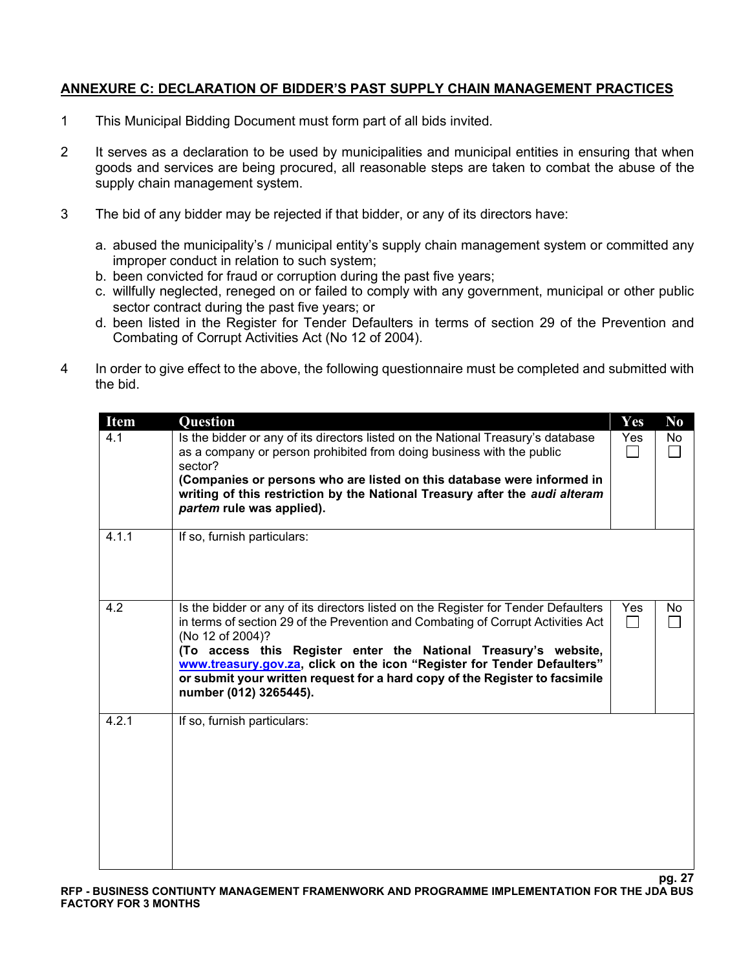# **ANNEXURE C: DECLARATION OF BIDDER'S PAST SUPPLY CHAIN MANAGEMENT PRACTICES**

- 1 This Municipal Bidding Document must form part of all bids invited.
- 2 It serves as a declaration to be used by municipalities and municipal entities in ensuring that when goods and services are being procured, all reasonable steps are taken to combat the abuse of the supply chain management system.
- 3 The bid of any bidder may be rejected if that bidder, or any of its directors have:
	- a. abused the municipality's / municipal entity's supply chain management system or committed any improper conduct in relation to such system;
	- b. been convicted for fraud or corruption during the past five years;
	- c. willfully neglected, reneged on or failed to comply with any government, municipal or other public sector contract during the past five years; or
	- d. been listed in the Register for Tender Defaulters in terms of section 29 of the Prevention and Combating of Corrupt Activities Act (No 12 of 2004).
- 4 In order to give effect to the above, the following questionnaire must be completed and submitted with the bid.

| <b>Item</b> | Question                                                                                                                                                                                                                                                                                                                                                                                                                                          | <b>Yes</b> | N <sub>0</sub> |
|-------------|---------------------------------------------------------------------------------------------------------------------------------------------------------------------------------------------------------------------------------------------------------------------------------------------------------------------------------------------------------------------------------------------------------------------------------------------------|------------|----------------|
| 4.1         | Is the bidder or any of its directors listed on the National Treasury's database<br>as a company or person prohibited from doing business with the public<br>sector?<br>(Companies or persons who are listed on this database were informed in<br>writing of this restriction by the National Treasury after the audi alteram<br>partem rule was applied).                                                                                        | Yes        | No             |
| 4.1.1       | If so, furnish particulars:                                                                                                                                                                                                                                                                                                                                                                                                                       |            |                |
| 4.2         | Is the bidder or any of its directors listed on the Register for Tender Defaulters<br>in terms of section 29 of the Prevention and Combating of Corrupt Activities Act<br>(No 12 of 2004)?<br>(To access this Register enter the National Treasury's website,<br>www.treasury.gov.za, click on the icon "Register for Tender Defaulters"<br>or submit your written request for a hard copy of the Register to facsimile<br>number (012) 3265445). | <b>Yes</b> | No.            |
| 4.2.1       | If so, furnish particulars:                                                                                                                                                                                                                                                                                                                                                                                                                       |            |                |

**pg. 27**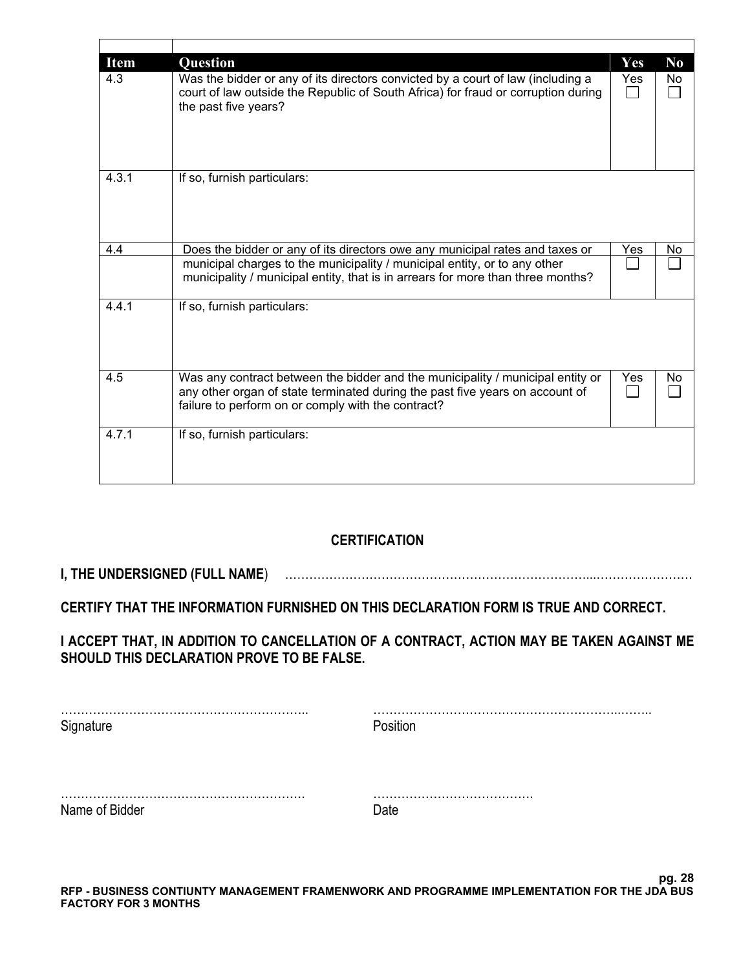| <b>Item</b> | Question                                                                                                                                                                                                             | <b>Yes</b> | N <sub>0</sub> |
|-------------|----------------------------------------------------------------------------------------------------------------------------------------------------------------------------------------------------------------------|------------|----------------|
| 4.3         | Was the bidder or any of its directors convicted by a court of law (including a<br>court of law outside the Republic of South Africa) for fraud or corruption during<br>the past five years?                         | Yes        | No.            |
| 4.3.1       | If so, furnish particulars:                                                                                                                                                                                          |            |                |
| 4.4         | Does the bidder or any of its directors owe any municipal rates and taxes or                                                                                                                                         | Yes        | No             |
|             | municipal charges to the municipality / municipal entity, or to any other<br>municipality / municipal entity, that is in arrears for more than three months?                                                         |            |                |
| 4.4.1       | If so, furnish particulars:                                                                                                                                                                                          |            |                |
| 4.5         | Was any contract between the bidder and the municipality / municipal entity or<br>any other organ of state terminated during the past five years on account of<br>failure to perform on or comply with the contract? | Yes        | No             |
| 4.7.1       | If so, furnish particulars:                                                                                                                                                                                          |            |                |

# **CERTIFICATION**

# **I, THE UNDERSIGNED (FULL NAME**) …………………………………………………………………...……………………

**CERTIFY THAT THE INFORMATION FURNISHED ON THIS DECLARATION FORM IS TRUE AND CORRECT.** 

**I ACCEPT THAT, IN ADDITION TO CANCELLATION OF A CONTRACT, ACTION MAY BE TAKEN AGAINST ME SHOULD THIS DECLARATION PROVE TO BE FALSE.** 

| Signature      | Position |
|----------------|----------|
|                |          |
| Name of Bidder |          |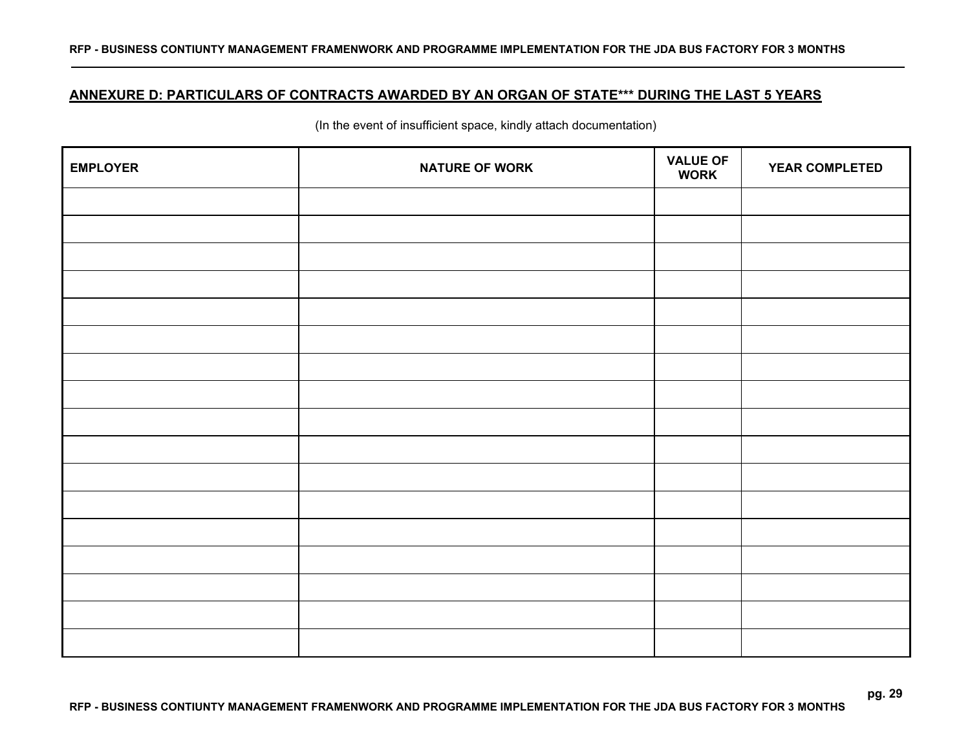# **ANNEXURE D: PARTICULARS OF CONTRACTS AWARDED BY AN ORGAN OF STATE\*\*\* DURING THE LAST 5 YEARS**

(In the event of insufficient space, kindly attach documentation)

| <b>EMPLOYER</b> | <b>NATURE OF WORK</b> | <b>VALUE OF</b><br><b>WORK</b> | <b>YEAR COMPLETED</b> |
|-----------------|-----------------------|--------------------------------|-----------------------|
|                 |                       |                                |                       |
|                 |                       |                                |                       |
|                 |                       |                                |                       |
|                 |                       |                                |                       |
|                 |                       |                                |                       |
|                 |                       |                                |                       |
|                 |                       |                                |                       |
|                 |                       |                                |                       |
|                 |                       |                                |                       |
|                 |                       |                                |                       |
|                 |                       |                                |                       |
|                 |                       |                                |                       |
|                 |                       |                                |                       |
|                 |                       |                                |                       |
|                 |                       |                                |                       |
|                 |                       |                                |                       |
|                 |                       |                                |                       |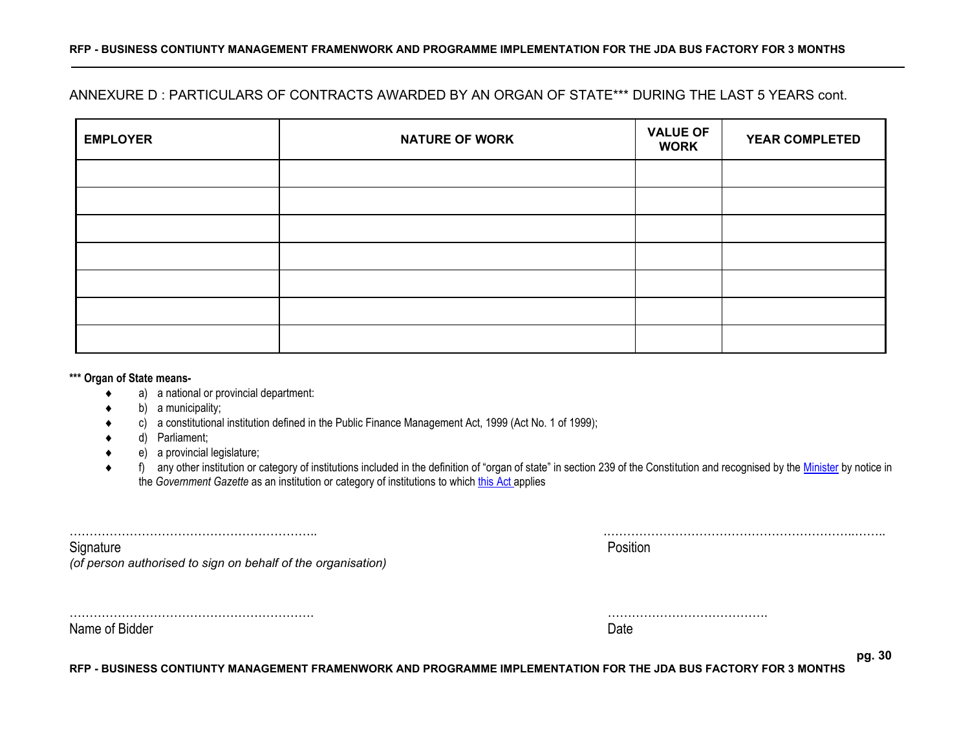# ANNEXURE D : PARTICULARS OF CONTRACTS AWARDED BY AN ORGAN OF STATE\*\*\* DURING THE LAST 5 YEARS cont.

| <b>EMPLOYER</b> | <b>NATURE OF WORK</b> | <b>VALUE OF</b><br><b>WORK</b> | <b>YEAR COMPLETED</b> |
|-----------------|-----------------------|--------------------------------|-----------------------|
|                 |                       |                                |                       |
|                 |                       |                                |                       |
|                 |                       |                                |                       |
|                 |                       |                                |                       |
|                 |                       |                                |                       |
|                 |                       |                                |                       |
|                 |                       |                                |                       |

#### **\*\*\* Organ of State means-**

- a) a national or provincial department:
- b) a municipality;
- c) a constitutional institution defined in the Public Finance Management Act, 1999 (Act No. 1 of 1999);
- d) Parliament;
- e) a provincial legislature;
- ◆ f) any other institution or category of institutions included in the definition of "organ of state" in section 239 of the Constitution and recognised by the [Minister](javascript:void(0);) by notice in the *Government Gazette* as an institution or category of institutions to whic[h this Act](javascript:void(0);) applies

| Signature                                                    | Position |
|--------------------------------------------------------------|----------|
| (of person authorised to sign on behalf of the organisation) |          |
|                                                              |          |

Name of Bidder Date

……………………………………………………. ………………………………….

**RFP - BUSINESS CONTIUNTY MANAGEMENT FRAMENWORK AND PROGRAMME IMPLEMENTATION FOR THE JDA BUS FACTORY FOR 3 MONTHS**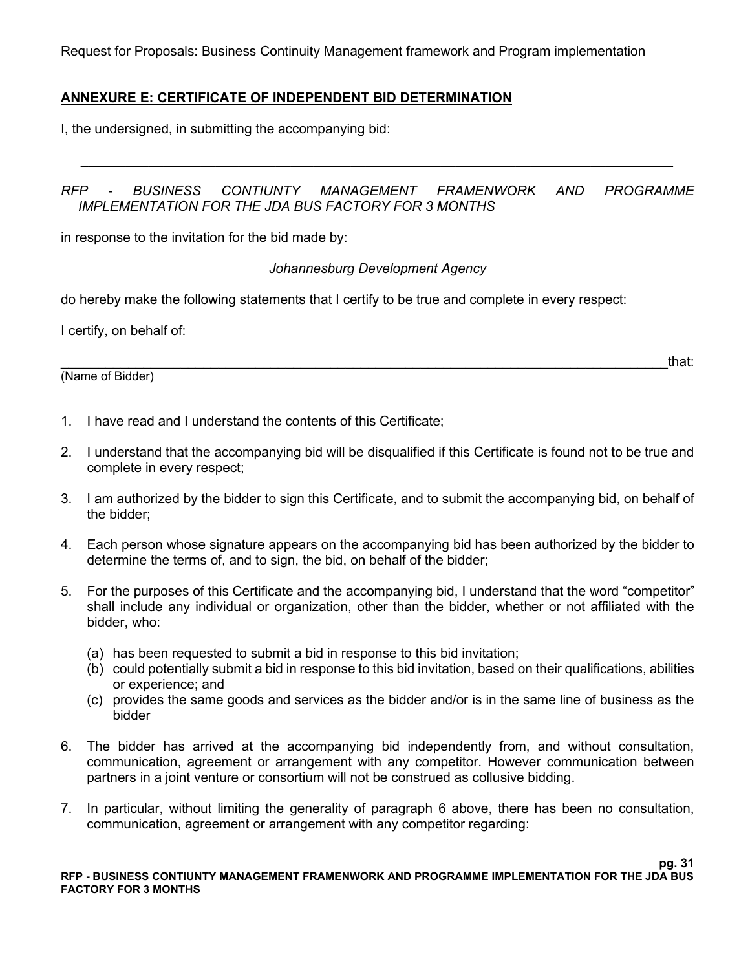#### **ANNEXURE E: CERTIFICATE OF INDEPENDENT BID DETERMINATION**

I, the undersigned, in submitting the accompanying bid:

#### *RFP - BUSINESS CONTIUNTY MANAGEMENT FRAMENWORK AND PROGRAMME IMPLEMENTATION FOR THE JDA BUS FACTORY FOR 3 MONTHS*

*\_\_\_\_\_\_\_\_\_\_\_\_\_\_\_\_\_\_\_\_\_\_\_\_\_\_\_\_\_\_\_\_\_\_\_\_\_\_\_\_\_\_\_\_\_\_\_\_\_\_\_\_\_\_\_\_\_\_\_\_\_\_\_\_\_\_\_\_\_\_\_\_\_\_\_\_\_\_\_*

in response to the invitation for the bid made by:

*Johannesburg Development Agency*

do hereby make the following statements that I certify to be true and complete in every respect:

I certify, on behalf of:

(Name of Bidder)

\_\_\_\_\_\_\_\_\_\_\_\_\_\_\_\_\_\_\_\_\_\_\_\_\_\_\_\_\_\_\_\_\_\_\_\_\_\_\_\_\_\_\_\_\_\_\_\_\_\_\_\_\_\_\_\_\_\_\_\_\_\_\_\_\_\_\_\_\_\_\_\_\_\_\_\_\_\_\_\_\_that:

- 1. I have read and I understand the contents of this Certificate;
- 2. I understand that the accompanying bid will be disqualified if this Certificate is found not to be true and complete in every respect;
- 3. I am authorized by the bidder to sign this Certificate, and to submit the accompanying bid, on behalf of the bidder;
- 4. Each person whose signature appears on the accompanying bid has been authorized by the bidder to determine the terms of, and to sign, the bid, on behalf of the bidder;
- 5. For the purposes of this Certificate and the accompanying bid, I understand that the word "competitor" shall include any individual or organization, other than the bidder, whether or not affiliated with the bidder, who:
	- (a) has been requested to submit a bid in response to this bid invitation;
	- (b) could potentially submit a bid in response to this bid invitation, based on their qualifications, abilities or experience; and
	- (c) provides the same goods and services as the bidder and/or is in the same line of business as the bidder
- 6. The bidder has arrived at the accompanying bid independently from, and without consultation, communication, agreement or arrangement with any competitor. However communication between partners in a joint venture or consortium will not be construed as collusive bidding.
- 7. In particular, without limiting the generality of paragraph 6 above, there has been no consultation, communication, agreement or arrangement with any competitor regarding: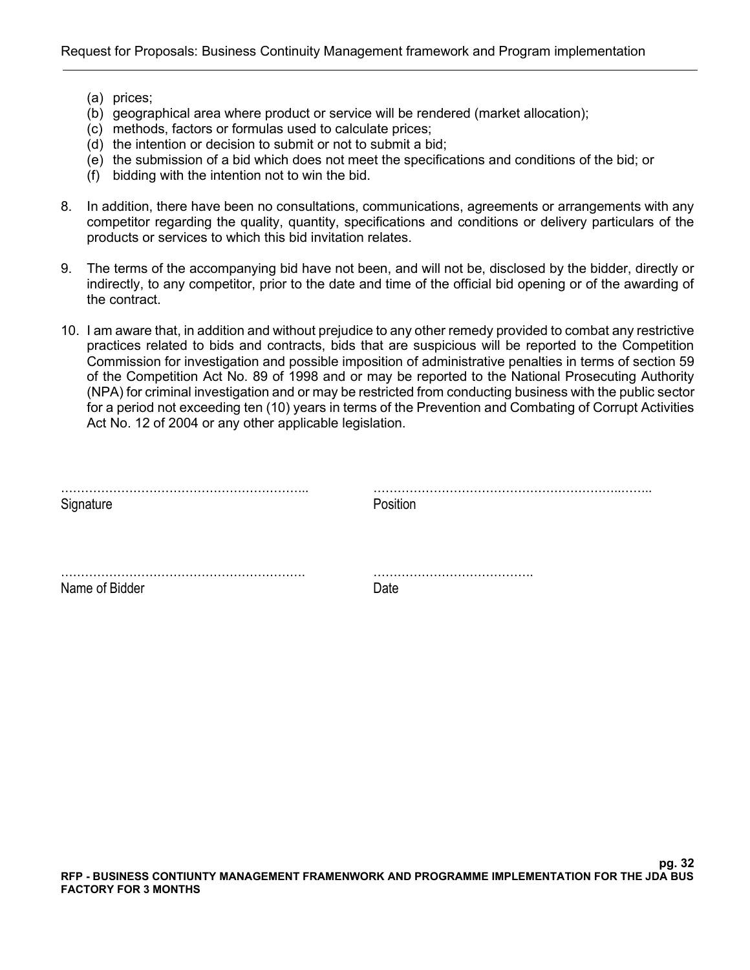- (a) prices;
- (b) geographical area where product or service will be rendered (market allocation);
- (c) methods, factors or formulas used to calculate prices;
- (d) the intention or decision to submit or not to submit a bid;
- (e) the submission of a bid which does not meet the specifications and conditions of the bid; or
- (f) bidding with the intention not to win the bid.
- 8. In addition, there have been no consultations, communications, agreements or arrangements with any competitor regarding the quality, quantity, specifications and conditions or delivery particulars of the products or services to which this bid invitation relates.
- 9. The terms of the accompanying bid have not been, and will not be, disclosed by the bidder, directly or indirectly, to any competitor, prior to the date and time of the official bid opening or of the awarding of the contract.
- 10. I am aware that, in addition and without prejudice to any other remedy provided to combat any restrictive practices related to bids and contracts, bids that are suspicious will be reported to the Competition Commission for investigation and possible imposition of administrative penalties in terms of section 59 of the Competition Act No. 89 of 1998 and or may be reported to the National Prosecuting Authority (NPA) for criminal investigation and or may be restricted from conducting business with the public sector for a period not exceeding ten (10) years in terms of the Prevention and Combating of Corrupt Activities Act No. 12 of 2004 or any other applicable legislation.

| Signature      | Position |
|----------------|----------|
|                |          |
| Name of Bidder | Date     |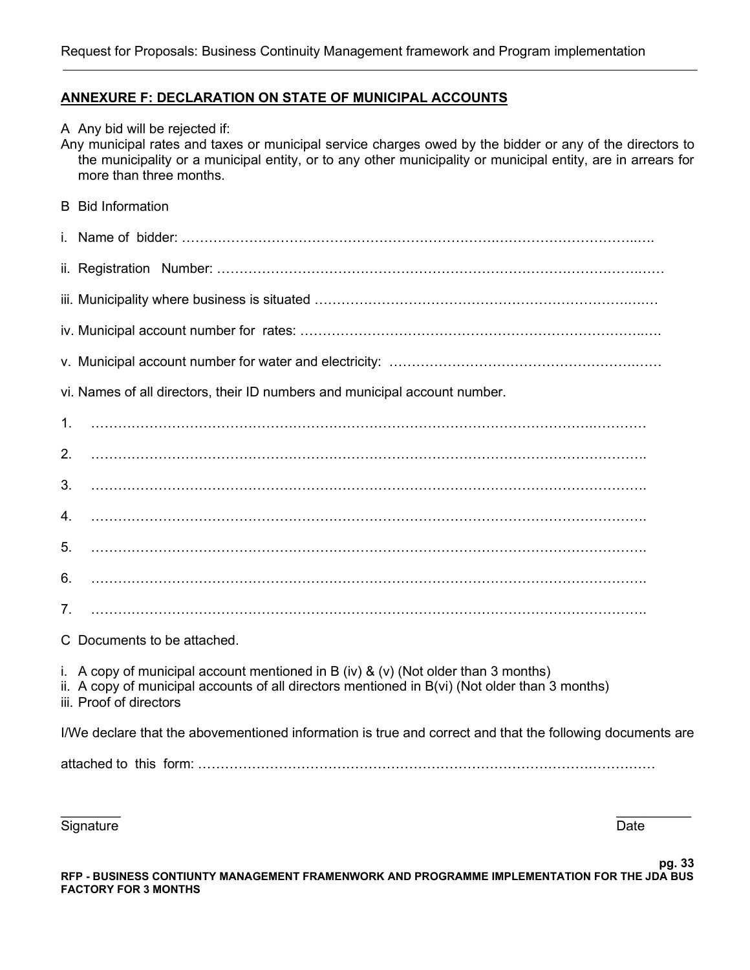#### **ANNEXURE F: DECLARATION ON STATE OF MUNICIPAL ACCOUNTS**

A Any bid will be rejected if:

Any municipal rates and taxes or municipal service charges owed by the bidder or any of the directors to the municipality or a municipal entity, or to any other municipality or municipal entity, are in arrears for more than three months.

B Bid Information

i. Name of bidder: …………………………………………………………….…………………………..…. ii. Registration Number: ………………………………………………………………………………….…… iii. Municipality where business is situated …………………………………………………………………………………………… iv. Municipal account number for rates: …………………………………………………………………..…. v. Municipal account number for water and electricity: ……………………………………………….…… vi. Names of all directors, their ID numbers and municipal account number. 1. ………………………………………………………………………………………………….………… 2. ……………………………………………………………………………………………………………. 3. ……………………………………………………………………………………………………………. 4. ……………………………………………………………………………………………………………. 5. ……………………………………………………………………………………………………………. 6. …………………………………………………………………………………………………………….  $7 \,$ C Documents to be attached. i. A copy of municipal account mentioned in B (iv) & (v) (Not older than 3 months) ii. A copy of municipal accounts of all directors mentioned in B(vi) (Not older than 3 months) iii. Proof of directors I/We declare that the abovementioned information is true and correct and that the following documents are attached to this form: …………………………………………………………………………………………

Signature **Date** 

**pg. 33 RFP - BUSINESS CONTIUNTY MANAGEMENT FRAMENWORK AND PROGRAMME IMPLEMENTATION FOR THE JDA BUS FACTORY FOR 3 MONTHS**

 $\frac{1}{2}$  , and the contract of the contract of the contract of the contract of the contract of the contract of the contract of the contract of the contract of the contract of the contract of the contract of the contract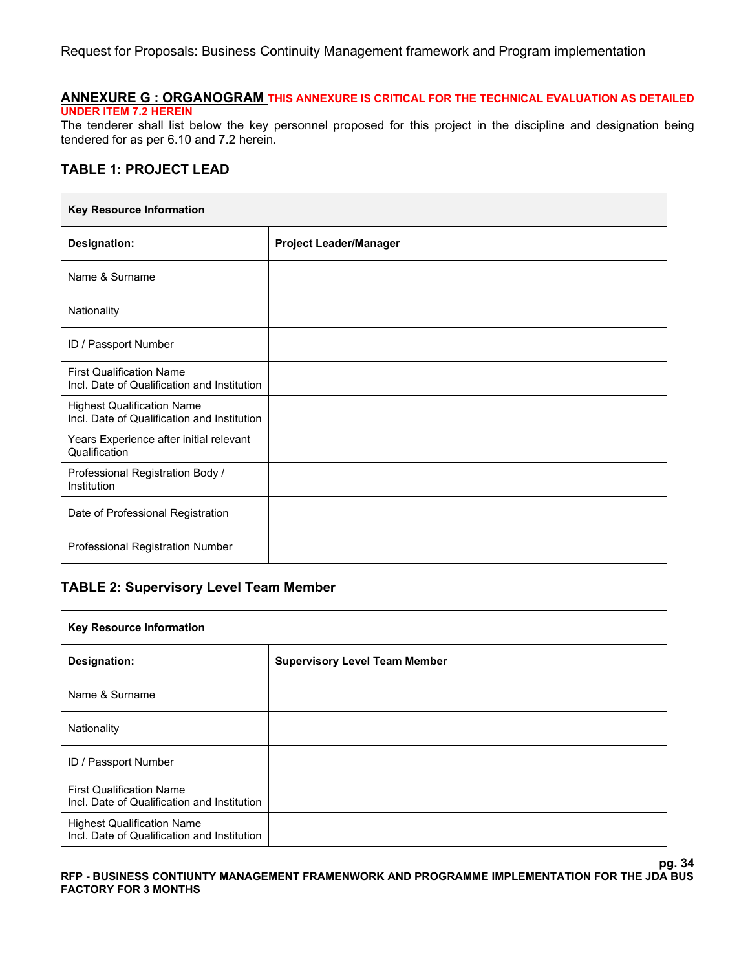#### **ANNEXURE G : ORGANOGRAM THIS ANNEXURE IS CRITICAL FOR THE TECHNICAL EVALUATION AS DETAILED UNDER ITEM 7.2 HEREIN**

The tenderer shall list below the key personnel proposed for this project in the discipline and designation being tendered for as per 6.10 and 7.2 herein.

#### **TABLE 1: PROJECT LEAD**

| <b>Key Resource Information</b>                                                  |                               |  |
|----------------------------------------------------------------------------------|-------------------------------|--|
| <b>Designation:</b>                                                              | <b>Project Leader/Manager</b> |  |
| Name & Surname                                                                   |                               |  |
| Nationality                                                                      |                               |  |
| ID / Passport Number                                                             |                               |  |
| <b>First Qualification Name</b><br>Incl. Date of Qualification and Institution   |                               |  |
| <b>Highest Qualification Name</b><br>Incl. Date of Qualification and Institution |                               |  |
| Years Experience after initial relevant<br>Qualification                         |                               |  |
| Professional Registration Body /<br>Institution                                  |                               |  |
| Date of Professional Registration                                                |                               |  |
| Professional Registration Number                                                 |                               |  |

#### **TABLE 2: Supervisory Level Team Member**

| <b>Key Resource Information</b>                                                  |                                      |  |
|----------------------------------------------------------------------------------|--------------------------------------|--|
| <b>Designation:</b>                                                              | <b>Supervisory Level Team Member</b> |  |
| Name & Surname                                                                   |                                      |  |
| Nationality                                                                      |                                      |  |
| ID / Passport Number                                                             |                                      |  |
| <b>First Qualification Name</b><br>Incl. Date of Qualification and Institution   |                                      |  |
| <b>Highest Qualification Name</b><br>Incl. Date of Qualification and Institution |                                      |  |

#### **pg. 34 RFP - BUSINESS CONTIUNTY MANAGEMENT FRAMENWORK AND PROGRAMME IMPLEMENTATION FOR THE JDA BUS FACTORY FOR 3 MONTHS**